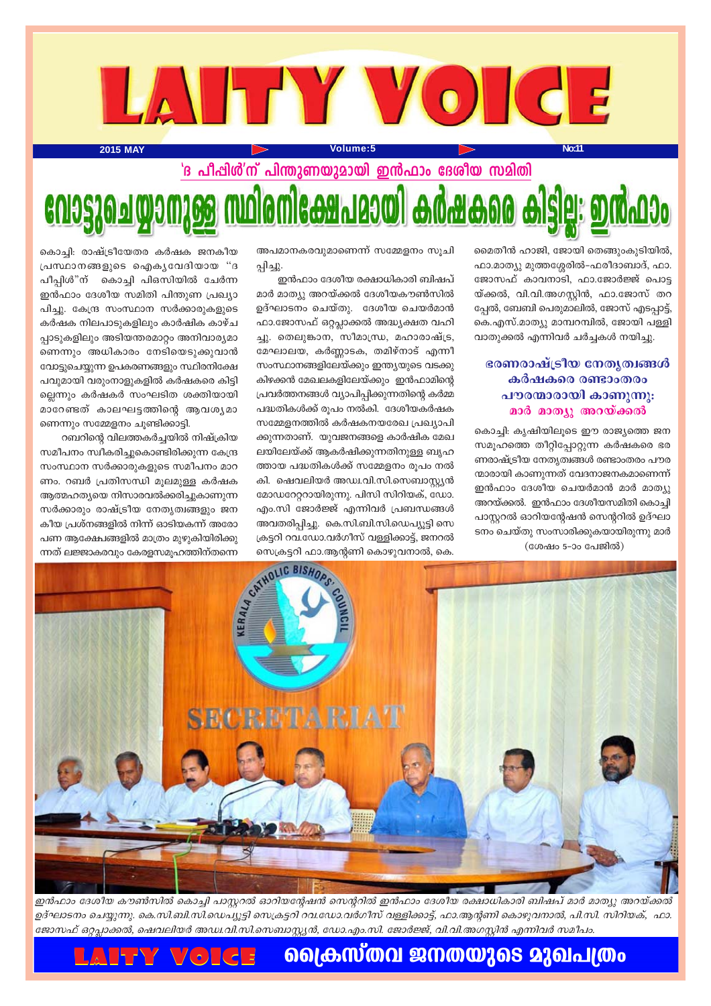

മൈതീൻ ഹാജി, ജോയി തെങ്ങുംകുടിയിൽ, ഫാ.മാത്യു മുത്തശ്ശേരിൽ-ഫരീദാബാദ്, ഫാ. ജോസഫ് കാവനാടി, ഫാ.ജോർജ്ജ് പൊട്ട യ്ക്കൽ, വി.വി.അഗസ്റ്റിൻ, ഫാ.ജോസ് തറ പ്പേൽ, ബേബി പെരുമാലിൽ, ജോസ് എടപ്പാട്ട്, കെ.എസ്.മാത്യു മാമ്പറമ്പിൽ, ജോയി പള്ളി വാതുക്കൽ എന്നിവർ ചർച്ചകൾ നയിച്ചു.

### ഭരണരാഷ്ട്രീയ നേതൃത്വങ്ങൾ കർഷകരെ രണ്ടാംതരം പൗരന്മാരായി കാണുന്നു: മാർ മാത്യൂ അറയ്ക്കൽ

കൊച്ചി: കൃഷിയിലൂടെ ഈ രാജ്യത്തെ ജന സമൂഹത്തെ തീറ്റിപ്പോറ്റുന്ന കർഷകരെ ഭര ണരാഷ്ട്രീയ നേതൃത്വങ്ങൾ രണ്ടാംതരം പൗര ന്മാരായി കാണുന്നത് വേദനാജനകമാണെന്ന് ഇൻഫാം ദേശീയ ചെയർമാൻ മാർ മാത്യു അറയ്ക്കൽ. ഇൻഫാം ദേശീയസമിതി കൊച്ചി പാസ്റ്ററൽ ഓറിയന്റേഷൻ സെന്ററിൽ ഉദ്ഘാ ടനം ചെയ്തു സംസാരിക്കുകയായിരുന്നു മാർ

(ശേഷം 5-ാം പേജിൽ)

അപമാനകരവുമാണെന്ന് സമ്മേളനം സൂചി പ്പിച്ചു.

ഇൻഫാം ദേശീയ രക്ഷാധികാരി ബിഷപ് മാർ മാത്യു അറയ്ക്കൽ ദേശീയകൗൺസിൽ ഉദ്ഘാടനം ചെയ്തു. ദേശീയ ചെയർമാൻ ഫാ.ജോസഫ് ഒറ്റപ്ലാക്കൽ അദ്ധ്യക്ഷത വഹി ച്ചു. തെലുങ്കാന, സീമാന്ധ്ര, മഹാരാഷ്ട്ര, മേഘാലയ, കർണ്ണാടക, തമിഴ്നാട് എന്നീ സംസ്ഥാനങ്ങളിലേയ്ക്കും ഇന്ത്യയുടെ വടക്കു കിഴക്കൻ മേഖലകളിലേയ്ക്കും ഇൻഫാമിന്റെ പ്രവർത്തനങ്ങൾ വ്യാപിപ്പിക്കുന്നതിന്റെ കർമ്മ പദ്ധതികൾക്ക് രൂപം നൽകി. ദേശീയകർഷക സമ്മേളനത്തിൽ കർഷകനയരേഖ പ്രഖ്യാപി ക്കുന്നതാണ്. യുവജനങ്ങളെ കാർഷിക മേഖ ലയിലേയ്ക്ക് ആകർഷിക്കുന്നതിനുള്ള ബൃഹ ത്തായ പദ്ധതികൾക്ക് സമ്മേളനം രൂപം നൽ കി. ഷെവലിയർ അഡ്വ.വി.സി.സെബാസ്റ്റ്യൻ മോഡറേറ്ററായിരുന്നു. പിസി സിറിയക്, ഡോ. എം.സി ജോർജ്ജ് എന്നിവർ പ്രബന്ധങ്ങൾ അവതരിപ്പിച്ചു. കെ.സി.ബി.സി.ഡെപ്യൂട്ടി സെ ക്രട്ടറി റവ.ഡോ.വർഗീസ് വള്ളിക്കാട്ട്, ജനറൽ സെക്രട്ടറി ഫാ.ആന്റണി കൊഴുവനാൽ, കെ.

കൊച്ചി: രാഷ്ട്രീയേതര കർഷക ജനകീയ പ്രസ്ഥാനങ്ങളുടെ ഐകൃവേദിയായ "ദ പീപ്പിൾ"ന് കൊച്ചി പിഒസിയിൽ ചേർന്ന ഇൻഫാം ദേശീയ സമിതി പിന്തുണ പ്രഖ്യാ പിച്ചു. കേന്ദ്ര സംസ്ഥാന സർക്കാരുകളുടെ കർഷക നിലപാടുകളിലും കാർഷിക കാഴ്ച പ്പാടുകളിലും അടിയന്തരമാറ്റം അനിവാര്യമാ ണെന്നും അധികാരം നേടിയെടുക്കുവാൻ വോട്ടുചെയ്യുന്ന ഉപകരണങ്ങളും സ്ഥിരനിക്ഷേ പവുമായി വരുംനാളുകളിൽ കർഷകരെ കിട്ടി ല്ലെന്നും കർഷകർ സംഘടിത ശക്തിയായി മാറേണ്ടത് കാലഘട്ടത്തിന്റെ ആവശൃമാ ണെന്നും സമ്മേളനം ചൂണ്ടിക്കാട്ടി.

റബറിന്റെ വിലത്തകർച്ചയിൽ നിഷ്ക്രിയ സമീപനം സ്വീകരിച്ചുകൊണ്ടിരിക്കുന്ന കേന്ദ്ര സംസ്ഥാന സർക്കാരുകളുടെ സമീപനം മാറ ണം. റബർ പ്രതിസന്ധി മൂലമുള്ള കർഷക ആത്മഹത്യയെ നിസാരവൽക്കരിച്ചുകാണുന്ന സർക്കാരും രാഷ്ട്രീയ നേതൃത്വങ്ങളും ജന കീയ പ്രശ്നങ്ങളിൽ നിന്ന് ഓടിയകന്ന് അരോ പണ ആക്ഷേപങ്ങളിൽ മാത്രം മുഴുകിയിരിക്കു ന്നത് ലജ്ജാകരവും കേരളസമൂഹത്തിന്തന്നെ



ഇൻഫാം ദേശീയ കൗൺസിൽ കൊച്ചി പാസ്റ്ററൽ ഓറിയന്റേഷൻ സെന്ററിൽ ഇൻഫാം ദേശീയ രക്ഷാധികാരി ബിഷപ് മാർ മാത്യു അറയ്ക്കൽ ഉദ്ഘാടനം ചെയ്യുന്നു. കെ.സി.ബി.സി.ഡെപ്യൂട്ടി സെക്രട്ടറി റവ.ഡോ.വർഗീസ് വള്ളിക്കാട്ട്, ഫാ.ആന്റണി കൊഴുവനാൽ, പി.സി. സിറിയക്, ഫാ. ജോസഫ് ഒറ്റപ്ലാക്കൽ, ഷെവലിയർ അഡ്വ.വി.സി.സെബാസ്റ്റ്യൻ, ഡോ.എം.സി. ജോർജ്ജ്, വി.വി.അഗസ്റ്റിൻ എന്നിവർ സമീപം.

### <u>്ലൈകസ്തവ ജനതയുടെ മുഖപത്രം</u> **LAY \'**(.) (..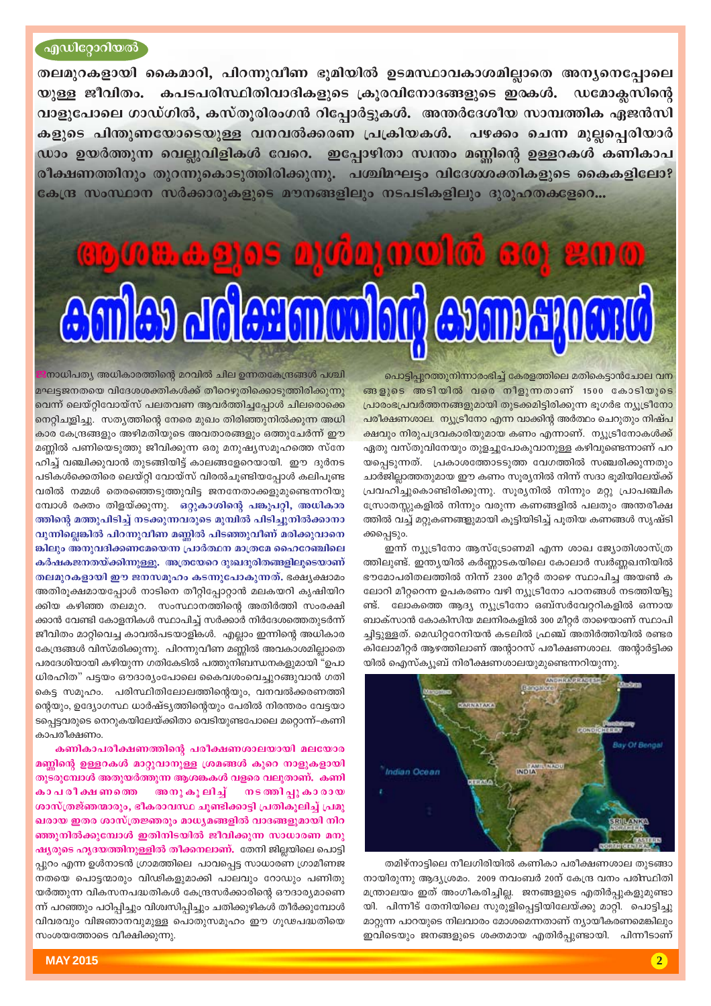### എഡിറ്റോറിയൽ

തലമുറകളായി കൈമാറി, പിറന്നുവീണ ഭൂമിയിൽ ഉടമസ്ഥാവകാശമില്ലാതെ അന്യനെപ്പോലെ യുള്ള ജീവിതം. കപടപരിസ്ഥിതിവാദികളുടെ ക്രുരവിനോദങ്ങളുടെ ഇരകൾ. ഡമോക്ലസിന്റെ വാളുപോലെ ഗാഡ്ഗിൽ, കസ്തുരിരംഗൻ റിപ്പോർട്ടുകൾ. അന്തർദേശീയ സാമ്പത്തിക ഏജൻസി കളുടെ പിന്തുണയോടെയുള്ള വനവൽക്കരണ പ്രക്രിയകൾ. പഴക്കം ചെന്ന മുല്ലപ്പെരിയാർ ഡാം ഉയർത്തുന്ന വെല്ലുവിളികൾ വേറെ. ഇപ്പോഴിതാ സ്ഥതം മണ്ണിന്റെ ഉള്ളറകൾ കണികാപ രീക്ഷണത്തിനും തുറന്നുകൊടുത്തിരിക്കുന്നു. പശ്ചിമഘട്ടം വിദേശശക്തികളുടെ കൈകളിലോ? കേന്ദ്ര സംസ്ഥാന സർക്കാരുകളുടെ മൗനങ്ങളിലും നടപടികളിലും ദുരുഹതകളേറെ...

## **COLLASIOS D'ICONOLE COL** 200 **Aniley delegantulari evan sporti**

പൊട്ടിപ്പുറത്തുനിന്നാരംഭിച്ച് കേരളത്തിലെ മതികെട്ടാൻചോല വന ങ്ങളുടെ അടിയിൽ വരെ നീളുന്നതാണ് 1500 കോടിയുടെ പ്രാരംഭപ്രവർത്തനങ്ങളുമായി തുടക്കമിട്ടിരിക്കുന്ന ഭൂഗർഭ ന്യൂട്രീനോ പരീക്ഷണശാല. ന്യൂട്രീനോ എന്ന വാക്കിന്റ അർത്ഥം ചെറുതും നിഷ്പ ക്ഷവും നിരുപദ്രവകാരിയുമായ കണം എന്നാണ്. ന്യൂട്രീനോകൾക്ക് ഏതു വസ്തുവിനേയും തുളച്ചുപോകുവാനുള്ള കഴിവുണ്ടെന്നാണ് പറ യപ്പെടുന്നത്. പ്രകാശത്തോടടുത്ത വേഗത്തിൽ സഞ്ചരിക്കുന്നതും ചാർജില്ലാത്തതുമായ ഈ കണം സൂര്യനിൽ നിന്ന് സദാ ഭൂമിയിലേയ്ക്ക് പ്രവഹിച്ചുകൊണ്ടിരിക്കുന്നു. സൂര്യനിൽ നിന്നും മറ്റു പ്രാപഞ്ചിക സ്രോതസ്സുകളിൽ നിന്നും വരുന്ന കണങ്ങളിൽ പലതും അന്തരീക്ഷ ത്തിൽ വച്ച് മറ്റുകണങ്ങളുമായി കൂട്ടിയിടിച്ച് പൂതിയ കണങ്ങൾ സൃഷ്ടി ക്കപ്പെടും.

ഇന്ന് ന്യൂട്രീനോ ആസ്ട്രോണമി എന്ന ശാഖ ജ്യോതിശാസ്ത്ര ത്തിലുണ്ട്. ഇന്ത്യയിൽ കർണ്ണാടകയിലെ കോലാർ സ്വർണ്ണഖനിയിൽ ഭൗമോപരിതലത്തിൽ നിന്ന് 2300 മീറ്റർ താഴെ സ്ഥാപിച്ച അയൺ ക ലോറി മീറ്ററെന്ന ഉപകരണം വഴി ന്യൂട്രീനോ പഠനങ്ങൾ നടത്തിയിട്ടു ണ്ട്. ലോകത്തെ ആദ്യ ന്യൂട്രീനോ ഒബ്സർവേറ്ററികളിൽ ഒന്നായ ബാക്സാൻ കോകിസിയ മലനിരകളിൽ 300 മീറ്റർ താഴെയാണ് സ്ഥാപി ച്ചിട്ടുള്ളത്. മെഡിറ്ററേനിയൻ കടലിൽ ഫ്രഞ്ച് അതിർത്തിയിൽ രണ്ടര കിലോമീറ്റർ ആഴത്തിലാണ് അന്റാറസ് പരീക്ഷണശാല. അന്റാർട്ടിക്ക യിൽ ഐസ്ക്യൂബ് നിരീക്ഷണശാലയുമുണ്ടെന്നറിയുന്നു.



തമിഴ്നാട്ടിലെ നീലഗിരിയിൽ കണികാ പരീക്ഷണശാല തുടങ്ങാ നായിരുന്നു ആദ്യശ്രമം. 2009 നവംബർ 20ന് കേന്ദ്ര വനം പരിസ്ഥിതി മന്ത്രാലയം ഇത് അംഗീകരിച്ചില്ല. ജനങ്ങളുടെ എതിർപ്പുകളുമുണ്ടാ യി. പിന്നീട് തേനിയിലെ സുരുളിപ്പെട്ടിയിലേയ്ക്കു മാറ്റി. പൊട്ടിച്ചു മാറ്റുന്ന പാറയുടെ നിലവാരം മോശമെന്നതാണ് ന്യായീകരണമെങ്കിലും ഇവിടെയും ജനങ്ങളുടെ ശക്തമായ എതിർപ്പുണ്ടായി. പിന്നീടാണ്

 $\boxed{2}$ 

.<br>നാധിപത്യ അധികാരത്തിന്റെ മറവിൽ ചില ഉന്നതകേന്ദ്രങ്ങൾ പശ്ചി മഘട്ടജനതയെ വിദേശശക്തികൾക്ക് തീറെഴുതിക്കൊടുത്തിരിക്കുന്നു വെന്ന് ലെയ്റ്റിവോയ്സ് പലതവണ ആവർത്തിച്ചപ്പോൾ ചിലരൊക്കെ നെറ്റിചുളിച്ചു. സത്യത്തിന്റെ നേരെ മുഖം തിരിഞ്ഞുനിൽക്കുന്ന അധി കാര കേന്ദ്രങ്ങളും അഴിമതിയുടെ അവതാരങ്ങളും ഒത്തുചേർന്ന് ഈ മണ്ണിൽ പണിയെടുത്തു ജീവിക്കുന്ന ഒരു മനുഷ്യസമൂഹത്തെ സ്നേ ഹിച്ച് വഞ്ചിക്കുവാൻ തുടങ്ങിയിട്ട് കാലങ്ങളേറെയായി. ഈ ദുർനട പടികൾക്കെതിരെ ലെയ്റ്റി വോയ്സ് വിരൽചൂണ്ടിയപ്പോൾ കലിപൂണ്ട വരിൽ നമ്മൾ തെരഞ്ഞെടുത്തുവിട്ട ജനനേതാക്കളുമുണ്ടെന്നറിയു മ്പോൾ രക്തം തിളയ്ക്കുന്നു. ഒറ്റുകാശിന്റെ പങ്കുപറ്റി, അധികാര ത്തിന്റെ മത്തുപിടിച്ച് നടക്കുന്നവരുടെ മുമ്പിൽ പിടിച്ചുനിൽക്കാനാ വുന്നില്ലെങ്കിൽ പിറന്നുവീണ മണ്ണിൽ പിടഞ്ഞുവീണ് മരിക്കുവാനെ ങ്കിലും അനുവദിക്കണമേയെന്ന പ്രാർത്ഥന മാത്രമേ ഹൈറേഞ്ചിലെ കർഷകജനതയ്ക്കിന്നുള്ളു. അത്രയേറെ ദുഃഖദുരിതങ്ങളിലൂടെയാണ് തലമുറകളായി ഈ ജനസമുഹം കടന്നുപോകുന്നത്. ഭക്ഷ്യക്ഷാമം അതിരൂക്ഷമായപ്പോൾ നാടിനെ തീറ്റിപ്പോറ്റാൻ മലകയറി കൃഷിയിറ ക്കിയ കഴിഞ്ഞ തലമുറ. സംസ്ഥാനത്തിന്റെ അതിർത്തി സംരക്ഷി ക്കാൻ വേണ്ടി കോളനികൾ സ്ഥാപിച്ച് സർക്കാർ നിർദേശത്തെതുടർന്ന് ജീവിതം മാറ്റിവെച്ച കാവൽപടയാളികൾ. എല്ലാം ഇന്നിന്റെ അധികാര കേന്ദ്രങ്ങൾ വിസ്മരിക്കുന്നു. പിറന്നുവീണ മണ്ണിൽ അവകാശമില്ലാതെ പരദേശിയായി കഴിയുന്ന ഗതികേടിൽ പത്തുനിബന്ധനകളുമായി "ഉപാ ധിരഹിത" പട്ടയം ഔദാര്യംപോലെ കൈവശംവെച്ചുറങ്ങുവാൻ ഗതി കെട്ട സമൂഹം. പരിസ്ഥിതിലോലത്തിന്റെയും, വനവൽക്കരണത്തി ന്റെയും, ഉദ്യോഗസ്ഥ ധാർഷ്ട്യത്തിന്റെയും പേരിൽ നിരന്തരം വേട്ടയാ ടപ്പെട്ടവരുടെ നെറുകയിലേയ്ക്കിതാ വെടിയുണ്ടപോലെ മറ്റൊന്ന്–കണി കാപരീക്ഷണം.

കണികാപരീക്ഷണത്തിന്റെ പരീക്ഷണശാലയായി മലയോര മണ്ണിന്റെ ഉള്ളറകൾ മാറ്റുവാനുള്ള ശ്രമങ്ങൾ കുറെ നാളുകളായി തുടരുമ്പോൾ അതുയർത്തുന്ന ആശങ്കകൾ വളരെ വലുതാണ്. കണി കാ പ രീ ക്ഷ ണത്തെ അനുകൂലിച്ച് നടത്തിപ്പു കാരായ ശാസ്ത്രജ്ഞന്മാരും, ഭീകരാവസ്ഥ ചുണ്ടിക്കാട്ടി പ്രതികുലിച്ച് പ്രമു ഖരായ ഇതര ശാസ്ത്രജ്ഞരും മാധ്യമങ്ങളിൽ വാദങ്ങളുമായി നിറ ഞ്ഞുനിൽക്കുമ്പോൾ ഇതിനിടയിൽ ജീവിക്കുന്ന സാധാരണ മനു ഷ്യരുടെ ഹൃദയത്തിനുള്ളിൽ തീക്കനലാണ്. തേനി ജില്ലയിലെ പൊട്ടി പ്പുറം എന്ന ഉൾനാടൻ ഗ്രാമത്തിലെ പാവപ്പെട്ട സാധാരണ ഗ്രാമീണജ നതയെ പൊട്ടന്മാരും വിഢികളുമാക്കി പാലവും റോഡും പണിതു യർത്തുന്ന വികസനപദ്ധതികൾ കേന്ദ്രസർക്കാരിന്റെ ഔദാര്യമാണെ ന്ന് പറഞ്ഞും പഠിപ്പിച്ചും വിശ്വസിപ്പിച്ചും ചതിക്കുഴികൾ തീർക്കുമ്പോൾ വിവരവും വിജഞാനവുമുള്ള പൊതുസമൂഹം ഈ ഗൂഢപദ്ധതിയെ സംശയത്തോടെ വീക്ഷിക്കുന്നു.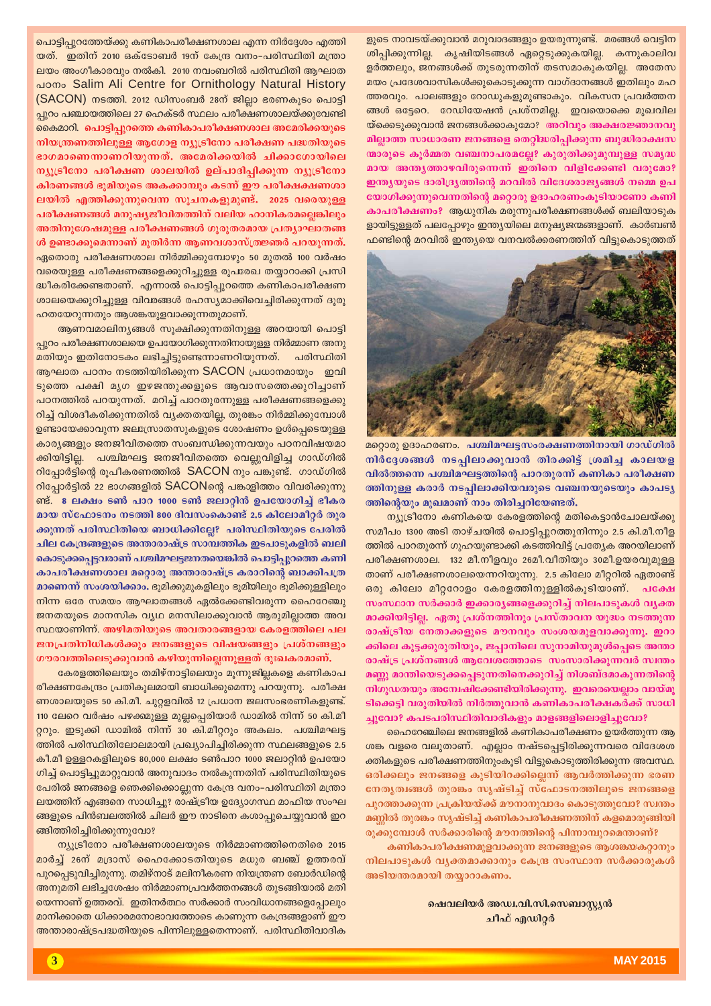ളുടെ നാവടയ്ക്കുവാൻ മറുവാദങ്ങളും ഉയരുന്നുണ്ട്. മരങ്ങൾ വെട്ടിന ശിപ്പിക്കുന്നില്ല. കൃഷിയിടങ്ങൾ ഏറ്റെടുക്കുകയില്ല. കന്നുകാലിവ ളർത്തലും, ജനങ്ങൾക്ക് തുടരുന്നതിന് തടസമാകുകയില്ല. അതേസ മയം പ്രദേശവാസികൾക്കുകൊടുക്കുന്ന വാഗ്ദാനങ്ങൾ ഇതിലും മഹ ത്തരവും. പാലങ്ങളും റോഡുകളുമുണ്ടാകും. വികസന പ്രവർത്തന ങ്ങൾ ഒട്ടേറെ. റേഡിയേഷൻ പ്രശ്നമില്ല. ഇവയൊക്കെ മുഖവില 'യ്ക്കെടുക്കുവാൻ ജനങ്ങൾക്കാകുമോ? ര<mark>്തരിവും അക്ഷരജ്ഞാനവു</mark> മില്ലാത്ത സാധാരണ ജനങ്ങളെ തെറ്റിദ്ധരിപ്പിക്കുന്ന ബുദ്ധിരാക്ഷസ യാരുടെ കുർമ്മത വഞ്ചനാപരമല്ലേ? കുരുതിക്കുമുമ്പുള്ള സമൃദ്ധ മായ അന്തൃത്താഴവിരുന്നെന്ന് ഇതിനെ വിളിക്കേണ്ടി വരുമോ? ഇന്ത്യയുടെ ദാരിദ്ര്യത്തിന്റെ മറവിൽ വിദേശരാജ്യങ്ങൾ നമ്മെ ഉപ യോഗിക്കുന്നുവെന്നതിന്റെ മറ്റൊരു ഉദാഹരണംകൂടിയാണോ കണി **കാപരീക്ഷണം?** ആധുനിക മരുന്നുപരീക്ഷണങ്ങൾക്ക് ബലിയാടുക ളായിട്ടുള്ളത് പലപ്പോഴും ഇന്ത്യയിലെ മനുഷ്യജന്മങ്ങളാണ്. കാർബൺ  $\pm$ ഫണ്ടിന്റെ മറവിൽ ഇന്ത്യയെ വനവൽക്കരണത്തിന് വിട്ടുകൊടുത്തത്



മറ്റൊരു ഉദാഹരണം. **പശ്ചിമഘട്ടസംരക്ഷണത്തിനായി ഗാഡ്ഗി**ൽ നിർദ്ദേശങ്ങൾ നടപ്പിലാക്കുവാൻ തിരക്കിട്ട് ശ്രമിച്ച കാലയള വിൽത്തന്നെ പശ്ചിമഘട്ടത്തിന്റെ പാറതുരന്ന് കണികാ പരീക്ഷണ ത്തിനുള്ള കരാർ നടപ്പിലാക്കിയവരുടെ വഞ്ചനയുടെയും കാപടൃ <mark>ത്തി</mark>ന്റെയും മുഖമാണ് നാം തിരിച്ചറിയേണ്ടത്.

 $\mathfrak{m}_M$ ട്രീനോ കണികയെ കേരളത്തിന്റെ മതികെട്ടാൻചോലയ്ക്കു സമീപം 1300 അടി താഴ്ചയിൽ പൊട്ടിപ്പുറത്തുനിന്നും 2.5 കി.മീ.നീള @തിൽ പാറതുരന്ന് ഗുഹയുണ്ടാക്കി കടത്തിവിട്ട് പ്രത്യേക അറയിലാണ് പരീക്ഷണശാല. 132 മീ.നീളവും 26മീ.വീതിയും 30മീ.ഉയരവുമുള്ള താണ് പരീക്ഷണശാലയെന്നറിയുന്നു. 2.5 കിലോ മീറ്ററിൽ ഏതാണ്ട് B@ കിലോ മീറ്ററോളം കേരളത്തിനുള്ളിൽകൂടിയാണ്. **പക്ഷേ** സംസ്ഥാന സർക്കാർ ഇക്കാരൃങ്ങളെക്കുറിച്ച് നിലപാടുകൾ വൃക്ത **മാക്കിയിട്ടില്ല. ഏതു പ്രശ്നത്തിനും പ്രസ്താവന യുദ്ധം നടത്തുന്ന** രാഷ്ട്രീയ നേതാക്കളുടെ മൗനവും സംശയമുളവാക്കുന്നു. **ഇറാ** ക്കിലെ കൂട്ടക്കുരുതിയും, ജപ്പാനിലെ സുനാമിയുമുൾപ്പെടെ അന്താ രാഷ്ട്ര പ്രശ്നങ്ങൾ ആവേശത്തോടെ സംസാരിക്കുന്നവർ സ്വന്തം **മണ്ണൂ മാന്തിയെടുക്കപ്പെടുന്നതിനെക്കുറിച്ച്** നിശബ്ദമാകുന്നതിന്റെ  $\mathbf n$ ിഗുഡതയും അന്വേഷിക്കേണ്ടിയിരിക്കുന്നു. ഇവരെയെല്ലാം വായ്മു ടിക്കെട്ടി വരുതിയിൽ നിർത്തുവാൻ കണികാപരീക്ഷകർക്ക് സാധി

ച്ചുവോ? കപടപരിസ്ഥിതിവാദികളും മാളങ്ങളിലൊളിച്ചുവോ? കൈരാഞ്ചിലെ ജനങ്ങളിൽ കണികാപരീക്ഷണം ഉയർത്തുന്ന ആ ശങ്ക വളരെ വലുതാണ്. എല്ലാം നഷ്ടപ്പെട്ടിരിക്കുന്നവരെ വിദേശശ ക്തികളുടെ പരീക്ഷണത്തിനുംകൂടി വിട്ടുകൊടുത്തിരിക്കുന്ന അവസ്ഥ.  $\boldsymbol{\mathrm{s}}$ രിക്കലും ജനങ്ങളെ കുടിയിറക്കില്ലെന്ന് ആവർത്തിക്കുന്ന ഭരണ നേതൃത്വങ്ങൾ തുരങ്കം സൃഷ്ടിച്ച് സ്ഫോടനത്തിലൂടെ ജനങ്ങളെ പുറത്താക്കുന്ന പ്രക്രിയയ്ക്ക് മൗനാനുവാദം കൊടുത്തുവോ? സ്ഥതം മണ്ണിൽ തുരങ്കം സൃഷ്ടിച്ച് കണികാപരീക്ഷണത്തിന് കളമൊരുങ്ങിയി

രുക്കുമ്പോൾ സർക്കാരിന്റെ മൗനത്തിന്റെ പിന്നാമ്പുറമെന്താണ്? **കണികാപരീക്ഷണമുളവാക്കുന്ന ജനങ്ങളുടെ ആശങ്കയകറ്റാനും** നിലപാടുകൾ വൃക്തമാക്കാനും കേന്ദ്ര സംസ്ഥാന സർക്കാരുകൾ അടിയന്തരമായി തയ്യാറാകണം.

> <u>ഷെവലിയർ അഡ്വ.വി.സി.സെബാസ്ക്യൻ</u> ചീഫ് എഡിറ്റ**ർ**

പൊട്ടിപ്പുറത്തേയ്ക്കു കണികാപരീക്ഷണശാല എന്ന നിർദ്ദേശം എത്തി യത്. ഇതിന് 2010 ഒക്ടോബർ 19ന് കേന്ദ്ര വനം-പരിസ്ഥിതി മന്ത്രാ ലയം അംഗീകാരവും നൽകി. 2010 നവംബറിൽ പരിസ്ഥിതി ആഘാത പഠനം Salim Ali Centre for Ornithology Natural History  $(SACON)$  നടത്തി. 2012 ഡിസംബർ 28ന് ജില്ലാ ഭരണകൂടം പൊട്ടി പ്പുറം പഞ്ചായത്തിലെ 27 ഹെക്ടർ സ്ഥലം പരീക്ഷണശാലയ്ക്കുവേണ്ടി കൈമാറി. പൊട്ടിപ്പുറത്തെ കണികാപരീക്ഷണശാല അമേരിക്കയുടെ  $m$ ിയന്ത്രണത്തിലുള്ള ആഗോള ന്യൂട്രീനോ പരീക്ഷണ പദ്ധതിയുടെ ഭാഗമാണെന്നാണറിയുന്നത്. അമേരിക്കയിൽ ചിക്കാഗോയിലെ **ന്യൂട്രീനോ പരീക്ഷണ ശാലയിൽ ഉല്പാദിപ്പിക്കുന്ന** ന്യൂട്രീനോ കിരണങ്ങൾ ഭൂമിയുടെ അകക്കാമ്പും കടന്ന് ഈ പരീക്ഷക്ഷണശാ ലയിൽ എത്തിക്കുന്നുവെന്ന സൂചനകളുമുണ്ട്. 2025 വരെയുള്ള പരീക്ഷണങ്ങൾ മനുഷ്യജീവിതത്തിന് വലിയ ഹാനികരമല്ലെങ്കിലും അതിനുശേഷമുള്ള പരീക്ഷണങ്ങൾ ഗുരുതരമായ പ്രത്യാഘാതങ്ങ ൾ ഉണ്ടാക്കുമെന്നാണ് മുതിർന്ന ആണവശാസ്ത്രജ്ഞർ പറയുന്നത്.  $\alpha$ ദ്ദതൊരു പരീക്ഷണശാല നിർമ്മിക്കുമ്പോഴും 50 മുതൽ 100 വർഷം വരെയുള്ള പരീക്ഷണങ്ങളെക്കുറിച്ചുള്ള രൂപരേഖ തയ്യാറാക്കി പ്രസി ദ്ധീകരിക്കേണ്ടതാണ്. എന്നാൽ പൊട്ടിപ്പുറത്തെ കണികാപരീക്ഷണ <u>ശാലയെക്കുറിച്ചുള്ള</u> വിവരങ്ങൾ രഹസ്യമാക്കിവെച്ചിരിക്കുന്നത് ദൂരൂ <u>ഹതയേറുന്നതും ആശങ്കയുളവാക്കുന്നതുമാണ്.</u>

ആണവമാലിനൃങ്ങൾ സൂക്ഷിക്കുന്നതിനുള്ള അറയായി പൊട്ടി  $\eta$ ുറം പരീക്ഷണശാലയെ ഉപയോഗിക്കുന്നതിനായുള്ള നിർമ്മാണ അനു മതിയും ഇതിനോടകം ലഭിച്ചിട്ടുണ്ടെന്നാണറിയുന്നത്. പരിസ്ഥിതി ആഘാത പഠനം നടത്തിയിരിക്കുന്ന SACON പ്രധാനമായും ഇവി ടുത്തെ പക്ഷി മൃഗ ഇഴജന്തുക്കളുടെ ആവാസത്തെക്കുറിച്ചാണ് പഠനത്തിൽ പറയുന്നത്. മറിച്ച് പാറതുരന്നുള്ള പരീക്ഷണങ്ങളെക്കു  $\partial$ ച്ച് വിശദീകരിക്കുന്നതിൽ വ്യക്തതയില്ല, തുരങ്കം നിർമ്മിക്കുമ്പോൾ ഉണ്ടായേക്കാവുന്ന ജലസ്രോതസുകളുടെ ശോഷണം ഉൾപ്പെടെയുള്ള കാര്യങ്ങളും ജനജീവിതത്തെ സംബന്ധിക്കുന്നവയും പഠനവിഷയമാ ക്കിയിട്ടില്ല. പശ്ചിമഘട്ട ജനജീവിതത്തെ വെല്ലുവിളിച്ച ഗാഡ്ഗിൽ  $\Omega$ പ്പോർട്ടിന്റെ രൂപീകരണത്തിൽ  $SACON$  നും പങ്കുണ്ട്. ഗാഡ്ഗിൽ  $\Omega$ പ്പോർട്ടിൽ 22 ഭാഗങ്ങളിൽ  $SACON$ ന്റെ പങ്കാളിത്തം വിവരിക്കുന്നു ണ്ട്. 8 ലക്ഷം ടൺ പാറ 1000 ടൺ ജലാറ്റിൻ ഉപയോഗിച്ച് ഭീകര **മായ സ്ഫോടനം നടത്തി 800 ദിവസംകൊണ്ട് 2.5 കിലോമീറ്റർ തുര** ക്കുന്നത് പരിസ്ഥിതിയെ ബാധിക്കില്ലേ? പരിസ്ഥിതിയുടെ പേരിൽ ചില കേന്ദ്രങ്ങളുടെ അന്താരാഷ്ട്ര സാമ്പത്തിക ഇടപാടുകളിൽ ബലി കൊടുക്കപ്പെട്ടവരാണ് പശ്ചിമഘട്ടജനതയെങ്കിൽ പൊട്ടിപ്പുറത്തെ കണി കാപരീക്ഷണശാല മറ്റൊരു അന്താരാഷ്ട്ര കരാറിന്റെ ബാക്കിപത്ര **മാണെന്ന് സംശയിക്കാം.** ഭൂമിക്കുമുകളിലും ഭൂമിയിലും ഭൂമിക്കുള്ളിലും  $\Omega$ നിന്ന ഒരേ സമയം ആഘാതങ്ങൾ ഏൽക്കേണ്ടിവരുന്ന ഹൈറേഞ്ചു  $\overline{\mathbf{z}}$ ന്തയുടെ മാനസിക വ്യഥ മനസിലാക്കുവാൻ ആരുമില്ലാത്ത അവ  $\overline{0}$ സ്ഥയാണിന്ന്. അഴിമതിയുടെ അവതാരങ്ങളായ കേരളത്തിലെ പല ജനപ്രതിനിധികൾക്കും ജനങ്ങളുടെ വിഷയങ്ങളും പ്രശ്നങ്ങളും ഗൗരവത്തിലെടുക്കുവാൻ കഴിയുന്നില്ലെന്നുള്ളത് ദുഃഖകരമാണ്.

€കരളത്തിലെയും തമിഴ്നാട്ടിലെയും മൂന്നുജില്ലകളെ കണികാപ  $\alpha$ ീക്ഷണകേന്ദ്രം പ്രതികൂലമായി ബാധിക്കുമെന്നു പറയുന്നു. പരീക്ഷ ണശാലയുടെ 50 കി.മീ. ചുറ്റളവിൽ 12 പ്രധാന ജലസംഭരണികളുണ്ട്. 110 ലേറെ വർഷം പഴക്കമുള്ള മുല്ലപ്പെരിയാർ ഡാമിൽ നിന്ന് 50 കി.മീ റ്ററും. ഇടുക്കി ഡാമിൽ നിന്ന് 30 കി.മീറ്ററും അകലം. പശ്ചിമഘട്ട ത്തിൽ പരിസ്ഥിതിലോലമായി പ്രഖ്യാപിച്ചിരിക്കുന്ന സ്ഥലങ്ങളുടെ 2.5 കീ.മീ ഉള്ളറകളിലൂടെ 80,000 ലക്ഷം ടൺപാറ 1000 ജലാറ്റിൻ ഉപയോ ശിച്ച് പൊട്ടിച്ചുമാറ്റുവാൻ അനുവാദം നൽകുന്നതിന് പരിസ്ഥിതിയുടെ പേരിൽ ജനങ്ങളെ ഞെക്കിക്കൊല്ലുന്ന കേന്ദ്ര വനം-പരിസ്ഥിതി മന്ത്രാ ലയത്തിന് എങ്ങനെ സാധിച്ചു? രാഷ്ട്രീയ ഉദ്യോഗസ്ഥ മാഫിയ സംഘ ങ്ങളുടെ പിൻബലത്തിൽ ചിലർ ഈ നാടിനെ കശാപ്പുചെയ്യുവാൻ ഇറ ങ്ങിത്തിരിച്ചിരിക്കുന്നുവോ?

 $\sigma_{\rm M}$ ട്രീനോ പരീക്ഷണശാലയുടെ നിർമ്മാണത്തിനെതിരെ 2015 മാർച്ച് 26ന് മദ്രാസ് ഹൈക്കോടതിയുടെ മധുര ബഞ്ച് ഉത്തരവ്  $\Delta$ പുറപ്പെടുവിച്ചിരുന്നു. തമിഴ്നാട് മലിനീകരണ നിയന്ത്രണ ബോർഡിന്റെ അനുമതി ലഭിച്ചശേഷം നിർമ്മാണപ്രവർത്തനങ്ങൾ തുടങ്ങിയാൽ മതി യെന്നാണ് ഉത്തരവ്. ഇതിനർത്ഥം സർക്കാർ സംവിധാനങ്ങളെപ്പോലും  $\alpha$ ാനിക്കാതെ ധിക്കാരമനോഭാവത്തോടെ കാണുന്ന കേന്ദ്രങ്ങളാണ് ഈ അന്താരാഷ്ട്രപദ്ധതിയുടെ പിന്നിലുള്ളതെന്നാണ്. പരിസ്ഥിതിവാദിക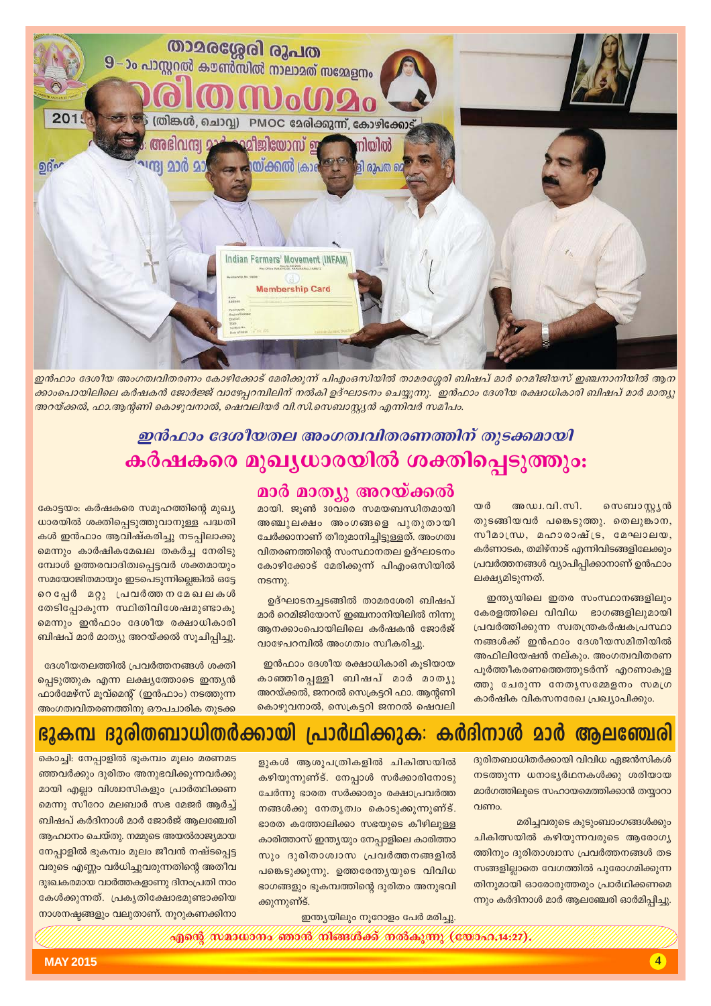

ഇൻഫാം ദേശീയ അംഗത്വവിതരണം കോഴിക്കോട് മേരിക്കുന്ന് പിഎംഒസിയിൽ താമരശ്ശേരി ബിഷപ് മാർ റെമീജിയസ് ഇഞ്ചനാനിയിൽ ആന ക്കാംപൊയിലിലെ കർഷകൻ ജോർജ്ജ് വാഴേപ്പറമ്പിലിന് നൽകി ഉദ്ഘാടനം ചെയ്യുന്നു. ഇൻഫാം ദേശീയ രക്ഷാധികാരി ബിഷപ് മാർ മാത്യു അറയ്ക്കൽ, ഫാ.ആന്റണി കൊഴുവനാൽ, ഷെവലിയർ വി.സി.സെബാസ്റ്റ്യൻ എന്നിവർ സമീപം.

### ഇൻഫാം ദേശീയതല അംഗത്വവിതരണത്തിന് തുടക്കമായി കർഷകരെ മുഖ്യധാരയിൽ ശക്തിപ്പെടുത്തും:

തർ അഡ്വ. വി. സി. സെബാസ്റ്റ്യൻ തുടങ്ങിയവർ പങ്കെടുത്തു. തെലുങ്കാന, സീമാന്ധ്ര, മഹാരാഷ്ട്ര, മേഘാലയ, കർണാടക, തമിഴ്നാട് എന്നിവിടങ്ങളിലേക്കും പ്രവർത്തനങ്ങൾ വ്യാപിപ്പിക്കാനാണ് ഉൻഫാം ലക്ഷ്യമിടുന്നത്.

ഇന്ത്യയിലെ ഇതര സംസ്ഥാനങ്ങളിലും കേരളത്തിലെ വിവിധ ഭാഗങ്ങളിലുമായി പ്രവർത്തിക്കുന്ന സ്വതന്ത്രകർഷകപ്രസ്ഥാ നങ്ങൾക്ക് ഇൻഫാം ദേശീയസമിതിയിൽ അഫിലിയേഷൻ നല്കും. അംഗത്വവിതരണ പൂർത്തീകരണത്തെത്തുടർന്ന് എറണാകുള ത്തു ചേരുന്ന നേതൃസമ്മേളനം സമഗ്ര കാർഷിക വികസനരേഖ പ്രഖ്യാപിക്കും.

### മാർ മാത്യൂ അറയ്ക്കൽ

മായി. ജൂൺ 30വരെ സമയബന്ധിതമായി അഞ്ചുലക്ഷം അംഗങ്ങളെ പുതുതായി ചേർക്കാനാണ് തീരുമാനിച്ചിട്ടുള്ളത്. അംഗത്വ വിതരണത്തിന്റെ സംസ്ഥാനതല ഉദ്ഘാടനം കോഴിക്കോട് മേരിക്കുന്ന് പിഎംഒസിയിൽ  $ms$  ms

ഉദ്ഘാടനച്ചടങ്ങിൽ താമരശേരി ബിഷപ് മാർ റെമിജിയോസ് ഇഞ്ചനാനിയിലിൽ നിന്നു ആനക്കാംപൊയിലിലെ കർഷകൻ ജോർജ് വാഴേപറമ്പിൽ അംഗത്വം സ്വീകരിച്ചു

ഇൻഫാം ദേശീയ രക്ഷാധികാരി കൂടിയായ കാഞ്ഞിരപ്പള്ളി ബിഷപ് മാർ മാത്യു അറയ്ക്കൽ, ജനറൽ സെക്രട്ടറി ഫാ. ആന്റണി കൊഴുവനാൽ, സെക്രട്ടറി ജനറൽ ഷെവലി

കോട്ടയം: കർഷകരെ സമൂഹത്തിന്റെ മുഖ്യ ധാരയിൽ ശക്തിപ്പെടുത്തുവാനുള്ള പദ്ധതി കൾ ഇൻഫാം ആവിഷ്കരിച്ചു നടപ്പിലാക്കു മെന്നും കാർഷികമേഖല തകർച്ച നേരിടു മ്പോൾ ഉത്തരവാദിത്വപ്പെട്ടവർ ശക്തമായും സമയോജിതമായും ഇടപെടുന്നില്ലെങ്കിൽ ഒട്ടേ റെപ്പേർ മറ്റു പ്രവർത്തനമേഖലകൾ തേടിപ്പോകുന്ന സ്ഥിതിവിശേഷമുണ്ടാകു മെന്നും ഇൻഫാം ദേശീയ രക്ഷാധികാരി ബിഷപ് മാർ മാത്യു അറയ്ക്കൽ സൂചിപ്പിച്ചു.

ദേശീയതലത്തിൽ പ്രവർത്തനങ്ങൾ ശക്തി പ്പെടുത്തുക എന്ന ലക്ഷ്യത്തോടെ ഇന്ത്യൻ ഫാർമേഴ്സ് മൂവ്മെന്റ് (ഇൻഫാം) നടത്തുന്ന അംഗത്വവിതരണത്തിനു ഔപചാരിക തുടക്ക

### പ്രാർഥിക്കുക: കർദിനാൾ മാർ ആലഞ്ചേരി ഭൂകമ്പ ദുരിതബാധിതർക്കായി

ദുരിതബാധിതർക്കായി വിവിധ ഏജൻസികൾ നടത്തുന്ന ധനാഭ്യർഥനകൾക്കു ശരിയായ മാർഗത്തിലൂടെ സഹായമെത്തിക്കാൻ തയ്യാറാ  $O<sub>1</sub>$ 

മരിച്ചവരുടെ കൂടുംബാംഗങ്ങൾക്കും ചികിത്സയിൽ കഴിയുന്നവരുടെ ആരോഗ്യ ത്തിനും ദുരിതാശ്വാസ പ്രവർത്തനങ്ങൾ തട സങ്ങളില്ലാതെ വേഗത്തിൽ പുരോഗമിക്കുന്ന തിനുമായി ഓരോരുത്തരും പ്രാർഥിക്കണമെ ന്നും കർദിനാൾ മാർ ആലഞ്ചേരി ഓർമിപ്പിച്ചു.

ളുകൾ ആശുപത്രികളിൽ ചികിത്സയിൽ കഴിയുന്നുണ്ട്. നേപ്പാൾ സർക്കാരിനോടു ചേർന്നു ഭാരത സർക്കാരും രക്ഷാപ്രവർത്ത നങ്ങൾക്കു നേതൃത്വം കൊടുക്കുന്നുണ്ട്. ഭാരത കത്തോലിക്കാ സഭയുടെ കീഴിലുള്ള കാരിത്താസ് ഇന്ത്യയും നേപ്പാളിലെ കാരിത്താ സും ദൂരിതാശ്വാസ പ്രവർത്തനങ്ങളിൽ പങ്കെടുക്കുന്നു. ഉത്തരേന്ത്യയുടെ വിവിധ ഭാഗങ്ങളും ഭൂകമ്പത്തിന്റെ ദുരിതം അനുഭവി ക്കുന്നുണ്ട്.

ഇന്ത്യയിലും നൂറോളം പേർ മരിച്ചു.

 $\frac{1}{2}$ ആൻ സമാധാനം ഞാൻ നിങ്ങൾക്ക് നൽകുന്നു (യോഹ $\alpha$ 4:27),

കൊച്ചി: നേപ്പാളിൽ ഭൂകമ്പം മൂലം മരണമട ഞ്ഞവർക്കും ദുരിതം അനുഭവിക്കുന്നവർക്കു മായി എല്ലാ വിശ്വാസികളും പ്രാർത്ഥിക്കണ മെന്നു സീറോ മലബാർ സഭ മേജർ ആർച്ച് ബിഷപ് കർദിനാൾ മാർ ജോർജ് ആലഞ്ചേരി ആഹ്വാനം ചെയ്തു. നമ്മുടെ അയൽരാജ്യമായ നേപ്പാളിൽ ഭൂകമ്പം മൂലം ജീവൻ നഷ്ടപ്പെട്ട വരുടെ എണ്ണം വർധിച്ചുവരുന്നതിന്റെ അതീവ ദുഃഖകരമായ വാർത്തകളാണു ദിനംപ്രതി നാം കേൾക്കുന്നത്. പ്രകൃതിക്ഷോഭമുണ്ടാക്കിയ നാശനഷ്ടങ്ങളും വലുതാണ്. നൂറുകണക്കിനാ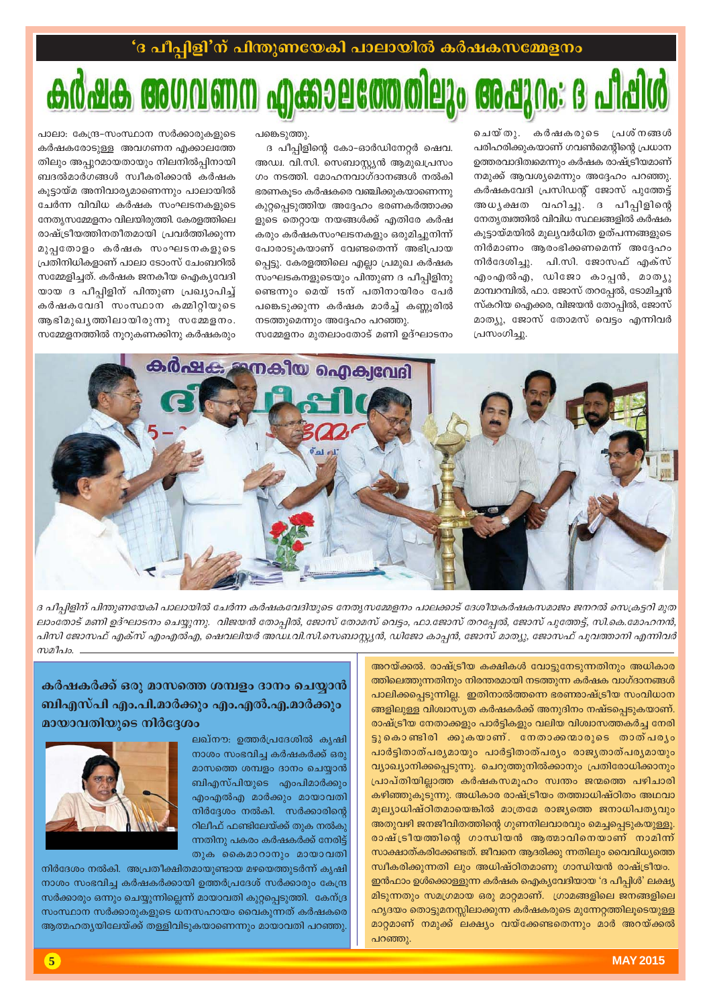## 0 MG9926 **80 8200: 6**

ചെയ്തു. കർഷകരുടെ പ്രശ്നങ്ങൾ പരിഹരിക്കുകയാണ് ഗവൺമെന്റിന്റെ പ്രധാന ഉത്തരവാദിത്വമെന്നും കർഷക രാഷ്ട്രീയമാണ് നമുക്ക് ആവശ്യമെന്നും അദ്ദേഹം പറഞ്ഞു. കർഷകവേദി പ്രസിഡന്റ് ജോസ് പുത്തേട്ട് അധൃക്ഷത വഹിച്ചു. ദ പീപ്പിളിന്റെ നേത്യത്വത്തിൽ വിവിധ സ്ഥലങ്ങളിൽ കർഷക കൂട്ടായ്മയിൽ മൂല്യവർധിത ഉത്പന്നങ്ങളുടെ നിർമാണം ആരംഭിക്കണമെന്ന് അദ്ദേഹം നിർദേശിച്ചു. പി.സി. ജോസഫ് എക്സ് എംഎൽഎ, ഡിജോ കാപ്പൻ, മാത്യു മാമ്പറമ്പിൽ, ഫാ. ജോസ് തറപ്പേൽ, ടോമിച്ചൻ സ്കറിയ ഐക്കര, വിജയൻ തോപ്പിൽ, ജോസ് മാത്യു, ജോസ് തോമസ് വെട്ടം എന്നിവർ പ്രസംഗിച്ചു.

പങ്കെടുത്തു.

ദ പീപ്പിളിന്റെ കോ-ഓർഡിനേറ്റർ ഷെവ. അഡ്വ. വി.സി. സെബാസ്റ്റ്യൻ ആമുഖപ്രസം ഗം നടത്തി. മോഹനവാഗ്ദാനങ്ങൾ നൽകി ഭരണകൂടം കർഷകരെ വഞ്ചിക്കുകയാണെന്നു കുറ്റപ്പെടുത്തിയ അദ്ദേഹം ഭരണകർത്താക്ക ളുടെ തെറ്റായ നയങ്ങൾക്ക് എതിരേ കർഷ കരും കർഷകസംഘടനകളും ഒരുമിച്ചുനിന്ന് പോരാടുകയാണ് വേണ്ടതെന്ന് അഭിപ്രായ പ്പെട്ടു. കേരളത്തിലെ എല്ലാ പ്രമുഖ കർഷക സംഘടകനളുടെയും പിന്തുണ ദ പീപ്പിളിനു ണ്ടെന്നും മെയ് 15ന് പതിനായിരം പേർ പങ്കെടുക്കുന്ന കർഷക മാർച്ച് കണ്ണൂരിൽ നടത്തുമെന്നും അദ്ദേഹം പറഞ്ഞു.

സമ്മേളനം മുതലാംതോട് മണി ഉദ്ഘാടനം

പാലാ: കേന്ദ്ര-സംസ്ഥാന സർക്കാരുകളുടെ കർഷകരോടുള്ള അവഗണന എക്കാലത്തേ തിലും അപ്പുറമായതായും നിലനിൽപ്പിനായി ബദൽമാർഗങ്ങൾ സ്വീകരിക്കാൻ കർഷക കുട്ടായ്മ അനിവാര്യമാണെന്നും പാലായിൽ ചേർന്ന വിവിധ കർഷക സംഘടനകളുടെ നേതൃസമ്മേളനം വിലയിരുത്തി. കേരളത്തിലെ രാഷ്ട്രീയത്തിനതീതമായി പ്രവർത്തിക്കുന്ന മുപ്പതോളം കർഷക സംഘടനകളുടെ പ്രതിനിധികളാണ് പാലാ ടോംസ് ചേംബറിൽ സമ്മേളിച്ചത്. കർഷക ജനകീയ ഐക്യവേദി യായ ദ പീപ്പിളിന് പിന്തുണ പ്രഖ്യാപിച്ച് കർഷകവേദി സംസ്ഥാന കമ്മിറ്റിയുടെ ആഭിമുഖൃത്തിലായിരുന്നു സമ്മേളനം. സമ്മേളനത്തിൽ നൂറുകണക്കിനു കർഷകരും



ദ പീപ്പിളിന് പിന്തുണയേകി പാലായിൽ ചേർന്ന കർഷകവേദിയുടെ നേതൃസമ്മേളനം പാലക്കാട് ദേശീയകർഷകസമാജം ജനറൽ സെക്രട്ടറി മുത ലാംതോട് മണി ഉദ്ഘാടനം ചെയ്യുന്നു. വിജയൻ തോപ്പിൽ, ജോസ് തോമസ് വെട്ടം, ഫാ.ജോസ് തറപ്പേൽ, ജോസ് പുത്തേട്ട്, സി.കെ.മോഹനൻ, പിസി ജോസഫ് എക്സ് എംഎൽഎ, ഷെവലിയർ അഡ്വ.വി.സി.സെബാസ്റ്റ്യൻ, ഡിജോ കാപ്പൻ, ജോസ് മാത്യു, ജോസഫ് പുവത്താനി എന്നിവർ  $m$ 2 $h$ 10.

> അറയ്ക്കൽ. രാഷ്ട്രീയ കക്ഷികൾ വോട്ടുനേടുന്നതിനും അധികാര ത്തിലെത്തുന്നതിനും നിരന്തരമായി നടത്തുന്ന കർഷക വാഗ്ദാനങ്ങൾ പാലിക്കപ്പെടുന്നില്ല. ഇതിനാൽത്തന്നെ ഭരണരാഷ്ട്രീയ സംവിധാന ങ്ങളിലുള്ള വിശ്വാസ്യത കർഷകർക്ക് അനുദിനം നഷ്ടപ്പെടുകയാണ്. രാഷ്ട്രീയ നേതാക്കളും പാർട്ടികളും വലിയ വിശ്വാസത്തകർച്ച നേരി ട്ടുകൊണ്ടിരി ക്കുകയാണ്. നേതാക്കന്മാരുടെ താത്പരൃം പാർട്ടിതാത്പര്യമായും പാർട്ടിതാത്പര്യം രാജ്യതാത്പര്യമായും വ്യാഖ്യാനിക്കപ്പെടുന്നു. ചെറുത്തുനിൽക്കാനും പ്രതിരോധിക്കാനും പ്രാപ്തിയില്ലാത്ത കർഷകസമുഹം സ്വന്തം ജന്മത്തെ പഴിചാരി കഴിഞ്ഞുകൂടുന്നു. അധികാര രാഷ്ട്രീയം തത്ത്വാധിഷ്ഠിതം അഥവാ മുല്യാധിഷ്ഠിതമായെങ്കിൽ മാത്രമേ രാജ്യത്തെ ജനാധിപത്യവും അതുവഴി ജനജീവിതത്തിന്റെ ഗുണനിലവാരവും മെച്ചപ്പെടുകയുള്ളൂ. രാഷ്ട്രീയത്തിന്റെ ഗാന്ധിയൻ ആത്മാവിനെയാണ് നാമിന്ന് സാക്ഷാത്കരിക്കേണ്ടത്. ജീവനെ ആദരിക്കു ന്നതിലും വൈവിധ്യത്തെ

> സ്വീകരിക്കുന്നതി ലും അധിഷ്ഠിതമാണു ഗാന്ധിയൻ രാഷ്ട്രീയം. ഇൻഫാം ഉൾക്കൊള്ളുന്ന കർഷക ഐകൃവേദിയായ 'ദ പീപ്പിൾ' ലക്ഷ്യ .<br>മിടുന്നതും സമഗ്രമായ ഒരു മാറ്റമാണ്. ഗ്രാമങ്ങളിലെ ജനങ്ങളിലെ ഹൃദയം തൊട്ടുമനസ്സിലാക്കുന്ന കർഷകരുടെ മുന്നേറ്റത്തിലൂടെയുള്ള മാറ്റമാണ് നമുക്ക് ലക്ഷ്യം വയ്ക്കേണ്ടതെന്നും മാർ അറയ്ക്കൽ പറഞ്ഞു.

കർഷകർക്ക് ഒരു മാസത്തെ ശമ്പളം ദാനം ചെയ്യാൻ ബിഎസ്പി എം.പി.മാർക്കും എം.എൽ.എ.മാർക്കും മായാവതിയുടെ നിർദ്ദേശം

> ലഖ്നൗ: ഉത്തർപ്രദേശിൽ കൃഷി നാശം സംഭവിച്ച കർഷകർക്ക് ഒരു മാസത്തെ ശമ്പളം ദാനം ചെയാൻ ബിഎസ്പിയുടെ എംപിമാർക്കും എംഎൽഎ മാർക്കും മായാവതി നിർദ്ദേശം നൽകി. സർക്കാരിന്റെ റിലീഫ് ഫണ്ടിലേയ്ക്ക് തുക നൽകു ന്നതിനു പകരം കർഷകർക്ക് നേരിട്ട് തുക കൈമാറാനും മായാവതി



നിർദേശം നൽകി. അപ്രതീക്ഷിതമായുണ്ടായ മഴയെത്തുടർന്ന് കൃഷി നാശം സംഭവിച്ച കർഷകർക്കായി ഉത്തർപ്രദേശ് സർക്കാരും കേന്ദ്ര സർക്കാരും ഒന്നും ചെയ്യുന്നില്ലെന്ന് മായാവതി കുറ്റപ്പെടുത്തി. കേന്ദ്ര സംസ്ഥാന സർക്കാരുകളുടെ ധനസഹായം വൈകുന്നത് കർഷകരെ ആത്മഹത്യയിലേയ്ക്ക് തള്ളിവിടുകയാണെന്നും മായാവതി പറഞ്ഞു.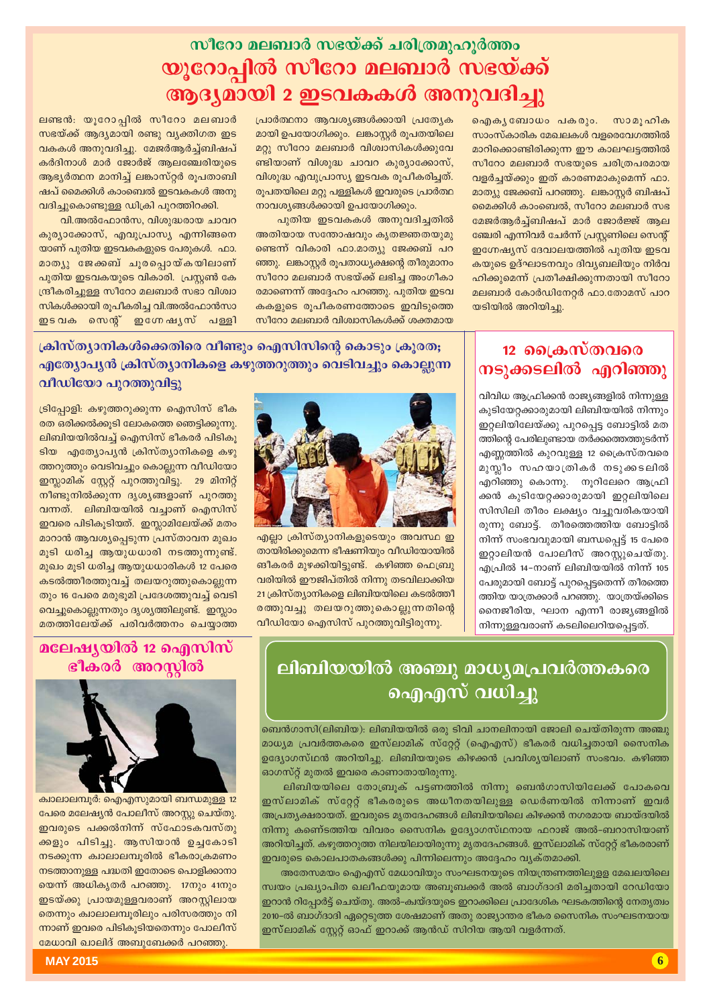## സീറോ മലബാർ സഭയ്ക്ക് ചരിത്രമുഹുർത്തം യൂറോപ്പിൽ സീറോ മലബാർ സഭയ്ക്ക് ആദ്യമായി 2 ഇടവകകൾ അനുവദിച്ചു

ഐകൃബോധം പകരും. സാമൂഹിക സാംസ്കാരിക മേഖലകൾ വളരെവേഗത്തിൽ മാറിക്കൊണ്ടിരിക്കുന്ന ഈ കാലഘട്ടത്തിൽ സീറോ മലബാർ സഭയുടെ ചരിത്രപരമായ വളർച്ചയ്ക്കും ഇത് കാരണമാകുമെന്ന് ഫാ. മാത്യു ജേക്കബ് പറഞ്ഞു. ലങ്കാസ്റ്റർ ബിഷപ് മൈക്കിൾ കാംബെൽ, സീറോ മലബാർ സഭ മേജർആർച്ച്ബിഷപ് മാർ ജോർജ്ജ് ആല ഞ്ചേരി എന്നിവർ ചേർന്ന് പ്രസ്റ്റണിലെ സെന്റ് ഇഗ്നേഷ്യസ് ദേവാലയത്തിൽ പുതിയ ഇടവ കയുടെ ഉദ്ഘാടനവും ദിവ്യബലിയും നിർവ ഹിക്കുമെന്ന് പ്രതീക്ഷിക്കുന്നതായി സീറോ മലബാർ കോർഡിനേറ്റർ ഫാ.തോമസ് പാറ യടിയിൽ അറിയിച്ചു.

പ്രാർത്ഥനാ ആവശ്യങ്ങൾക്കായി പ്രത്യേക മായി ഉപയോഗിക്കും. ലങ്കാസ്റ്റർ രൂപതയിലെ മറ്റു സീറോ മലബാർ വിശ്വാസികൾക്കുവേ ണ്ടിയാണ് വിശുദ്ധ ചാവറ കുര്യാക്കോസ്, വിശുദ്ധ എവുപ്രാസ്യ ഇടവക രൂപീകരിച്ചത്. രുപതയിലെ മറ്റു പളളികൾ ഇവരുടെ പ്രാർത്ഥ നാവശ്യങ്ങൾക്കായി ഉപയോഗിക്കും.

പുതിയ ഇടവകകൾ അനുവദിച്ചതിൽ അതിയായ സന്തോഷവും കൃതജ്ഞതയുമു ണ്ടെന്ന് വികാരി ഫാ.മാത്യു ജേക്കബ് പറ ഞ്ഞു. ലങ്കാസ്റ്റർ രൂപതാധ്യക്ഷന്റെ തീരുമാനം സീറോ മലബാർ സഭയ്ക്ക് ലഭിച്ച അംഗീകാ രമാണെന്ന് അദ്ദേഹം പറഞ്ഞു. പുതിയ ഇടവ കകളുടെ രൂപീകരണത്തോടെ ഇവിടുത്തെ സീറോ മലബാർ വിശ്വാസികൾക്ക് ശക്തമായ

ലണ്ടൻ: യൂറോപ്പിൽ സീറോ മലബാർ സഭയ്ക്ക് ആദ്യമായി രണ്ടു വ്യക്തിഗത ഇട വകകൾ അനുവദിച്ചു. മേജർആർച്ച്ബിഷപ് കർദിനാൾ മാർ ജോർജ് ആലഞ്ചേരിയുടെ ആഭ്യർത്ഥന മാനിച്ച് ലങ്കാസ്റ്റർ രൂപതാബി ഷപ് മൈക്കിൾ കാംബെൽ ഇടവകകൾ അനു വദിച്ചുകൊണ്ടുള്ള ഡിക്രി പുറത്തിറക്കി.

വി.അൽഫോൻസ, വിശുദ്ധരായ ചാവറ കുര്യാക്കോസ്, എവുപ്രാസ്യ എന്നിങ്ങനെ യാണ് പുതിയ ഇടവകകളുടെ പേരുകൾ. ഫാ. മാത്യു ജേക്കബ് ചൂരപ്പൊയ്കയിലാണ് പുതിയ ഇടവകയുടെ വികാരി. പ്രസ്തൻ കേ ന്ദ്രീകരിച്ചുള്ള സീറോ മലബാർ സഭാ വിശ്വാ സികൾക്കായി രുപീകരിച്ച വി.അൽഫോൻസാ ഇടവക സെന്റ് ഇഗ്നേഷൃസ് പള്ളി

### 12 ക്രൈസ്തവരെ നടുക്കടലിൽ എറിഞ്ഞു

വിവിധ ആഫ്രിക്കൻ രാജ്യങ്ങളിൽ നിന്നുള്ള കുടിയേറ്റക്കാരുമായി ലിബിയയിൽ നിന്നും ഇറ്റലിയിലേയ്ക്കു പുറപ്പെട്ട ബോട്ടിൽ മത ത്തിന്റെ പേരിലുണ്ടായ തർക്കത്തെത്തുടർന്ന് എണ്ണത്തിൽ കുറവുള്ള 12 ക്രൈസ്തവരെ മുസ്ലീം സഹയാത്രികർ നടുക്കടലിൽ എറിഞ്ഞു കൊന്നു. നൂറിലേറെ ആഫ്രി ക്കൻ കുടിയേറ്റക്കാരുമായി ഇറ്റലിയിലെ സിസിലി തീരം ലക്ഷ്യം വച്ചുവരികയായി രുന്നു ബോട്ട്. തീരത്തെത്തിയ ബോട്ടിൽ നിന്ന് സംഭവവുമായി ബന്ധപ്പെട്ട് 15 പേരെ ഇറ്റാലിയൻ പോലീസ് അറസ്റ്റുചെയ്തു. എപ്രിൽ 14-നാണ് ലിബിയയിൽ നിന്ന് 105 പേരുമായി ബോട്ട് പുറപ്പെട്ടതെന്ന് തീരത്തെ ത്തിയ യാത്രക്കാർ പറഞ്ഞു. യാത്രയ്ക്കിടെ നൈജീരിയ, ഘാന എന്നീ രാജ്യങ്ങളിൽ നിന്നുള്ളവരാണ് കടലിലെറിയപ്പെട്ടത്.

ക്രിസ്ത്യാനികൾക്കെതിരെ വീണ്ടും ഐസിസിന്റെ കൊടും ക്രുരത; എത്യോപൃൻ ക്രിസ്ത്യാനികളെ കഴുത്തറുത്തും വെടിവച്ചും കൊല്ലുന്ന വീഡിയോ പുറത്തുവിട്ടു



എല്ലാ ക്രിസ്ത്യാനികളുടെയും അവസ്ഥ ഇ തായിരിക്കുമെന്ന ഭീഷണിയും വീഡിയോയിൽ ങീകരർ മുഴക്കിയിട്ടുണ്ട്. കഴിഞ്ഞ ഫെബ്രു വരിയിൽ ഈജിപ്തിൽ നിന്നു തടവിലാക്കിയ 21 ക്രിസ്ത്യാനികളെ ലിബിയയിലെ കടൽത്തീ രത്തുവച്ചു തലയറുത്തുകൊല്ലുന്നതിന്റെ വീഡിയോ ഐസിസ് പുറത്തുവിട്ടിരുന്നു.

### ലിബിയയിൽ അഞ്ചു മാധ്യമപ്രവർത്തകരെ ഐഎസ് വധിച്ചു

ബെൻഗാസി(ലിബിയ): ലിബിയയിൽ ഒരു ടിവി ചാനലിനായി ജോലി ചെയ്തിരുന്ന അഞ്ചു മാധ്യമ പ്രവർത്തകരെ ഇസ്ലാമിക് സ്റ്റേറ്റ് (ഐഎസ്) ഭീകരർ വധിച്ചതായി സൈനിക ഉദ്യോഗസ്ഥൻ അറിയിച്ചു. ലിബിയയുടെ കിഴക്കൻ പ്രവിശ്യയിലാണ് സംഭവം. കഴിഞ്ഞ ഓഗസ്റ്റ് മുതൽ ഇവരെ കാണാതായിരുന്നു.

ലിബിയയിലെ തോബ്രൂക് പട്ടണത്തിൽ നിന്നു ബെൻഗാസിയിലേക്ക് പോകവെ ഇസ്ലാമിക് സ്റ്റേറ്റ് ഭീകരരുടെ അധീനതയിലുള്ള ഡെർണയിൽ നിന്നാണ് ഇവർ അപ്രതൃക്ഷരായത്. ഇവരുടെ മൃതദേഹങ്ങൾ ലിബിയയിലെ കിഴക്കൻ നഗരമായ ബായ്ദയിൽ നിന്നു കണെ്ടത്തിയ വിവരം സൈനിക ഉദ്യോഗസ്ഥനായ ഫറാജ് അൽ-ബറാസിയാണ് അറിയിച്ചത്. കഴുത്തറുത്ത നിലയിലായിരുന്നു മൃതദേഹങ്ങൾ. ഇസ്ലാമിക് സ്റ്റേറ്റ് ഭീകരരാണ് ഇവരുടെ കൊലപാതകങ്ങൾക്കു പിന്നിലെന്നും അദ്ദേഹം വ്യക്തമാക്കി.

അതേസമയം ഐഎസ് മേധാവിയും സംഘടനയുടെ നിയന്ത്രണത്തിലുള്ള മേഖലയിലെ സ്വയം പ്രഖ്യാപിത ഖലീഫയുമായ അബുബക്കർ അൽ ബാഗ്ദാദി മരിച്ചതായി റേഡിയോ ഇറാൻ റിപ്പോർട്ട് ചെയ്തു. അൽ–ക്വയ്ദയുടെ ഇറാക്കിലെ പ്രാദേശിക ഘടകത്തിന്റെ നേതൃത്വം 2010-ൽ ബാഗ്ദാദി ഏറ്റെടുത്ത ശേഷമാണ് അതു രാജ്യാന്തര ഭീകര സൈനിക സംഘടനയായ ഇസ്ലാമിക് സ്റ്റേറ്റ് ഓഫ് ഇറാക്ക് ആൻഡ് സിറിയ ആയി വളർന്നത്.

ട്രിപ്പോളി: കഴുത്തറുക്കുന്ന ഐസിസ് ഭീക രത ഒരിക്കൽക്കുടി ലോകത്തെ ഞെട്ടിക്കുന്നു. ലിബിയയിൽവച്ച് ഐസിസ് ഭീകരർ പിടികൂ ടിയ എത്യോപ്യൻ ക്രിസ്ത്യാനികളെ കഴു ത്തറുത്തും വെടിവച്ചും കൊല്ലുന്ന വീഡിയോ ഇസ്ലാമിക് സ്റ്റേറ്റ് പുറത്തുവിട്ടു. 29 മിനിറ്റ് നീണ്ടുനിൽക്കുന്ന ദൃശ്യങ്ങളാണ് പുറത്തു വന്നത്. ലിബിയയിൽ വച്ചാണ് ഐസിസ് ഇവരെ പിടികൂടിയത്. ഇസ്ലാമിലേയ്ക്ക് മതം മാറാൻ ആവശ്യപ്പെടുന്ന പ്രസ്താവന മുഖം മുടി ധരിച്ച ആയുധധാരി നടത്തുന്നുണ്ട്. മുഖം മുടി ധരിച്ച ആയുധധാരികൾ 12 പേരെ കടൽത്തീരത്തുവച്ച് തലയറുത്തുകൊല്ലുന്ന തും 16 പേരെ മരുഭുമി പ്രദേശത്തുവച്ച് വെടി വെച്ചുകൊല്ലുന്നതും ദൃശൃത്തിലുണ്ട്. ഇസ്ലാം മതത്തിലേയ്ക്ക് പരിവർത്തനം ചെയാത്ത

### മലേഷ്യയിൽ 12 ഐസിസ് ഭീകരർ അറസ്റ്റിൽ



ക്വാലാലമ്പൂർ: ഐഎസുമായി ബന്ധമുള്ള 12 പേരെ മലേഷ്യൻ പോലീസ് അറസ്റ്റു ചെയ്തു. ഇവരുടെ പക്കൽനിന്ന് സ്ഫോടകവസ്തു ക്കളും പിടിച്ചു. ആസിയാൻ ഉച്ചകോടി നടക്കുന്ന ക്വാലാലമ്പൂരിൽ ഭീകരാക്രമണം നടത്താനുള്ള പദ്ധതി ഇതോടെ പൊളിക്കാനാ യെന്ന് അധികൃതർ പറഞ്ഞു. 17നും 41നും ഇടയ്ക്കു പ്രായമുള്ളവരാണ് അറസ്റ്റിലായ തെന്നും ക്വാലാലമ്പൂരിലും പരിസരത്തും നി ന്നാണ് ഇവരെ പിടികൂടിയതെന്നും പോലീസ് മേധാവി ഖാലിദ് അബുബേക്കർ പറഞ്ഞു.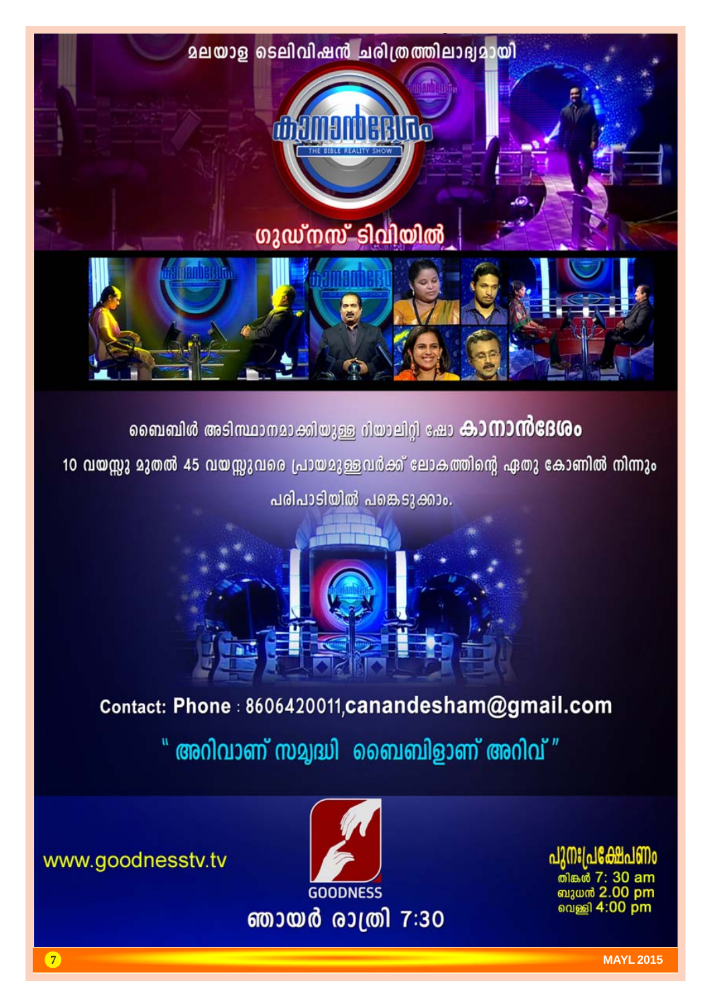

ബൈബിൾ അടിസ്ഥാനമാക്കിയുള്ള റിയാലിറ്റി ഷോ കാ**നാൻദേശം** 

10 വയസ്സു മുതൽ 45 വയസ്സുവരെ പ്രായമുള്ളവർക്ക് ലോകത്തിന്റെ ഏതു കോണിൽ നിന്നും

പരിപാടിയിൽ പങ്കെടുക്കാം.

## Contact: Phone : 8606420011, canandesham@gmail.com " അറിവാണ് സമൃദ്ധി ബൈബിളാണ് അറിവ് "

പുനഃപ്ര<u>ക്</u>ഷേ ബുധൻ 2.00 pm வெணி **4:00 pm** 



www.goodnesstv.tv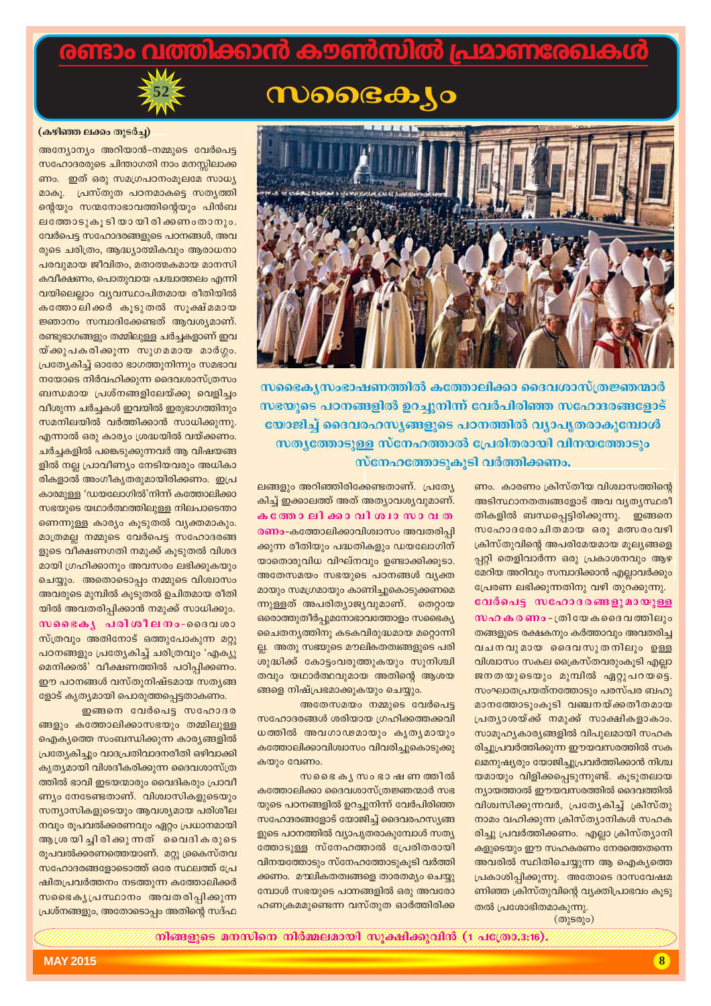### വത്തിക്കാൻ കൗൺസിൽ പ്രമാണരേഖക

## *<u>WOOGO*</u>

ലങ്ങളും അറിഞ്ഞിരിക്കേണ്ടതാണ്. പ്രത്യേ

കിച്ച് ഇക്കാലത്ത് അത് അത്യാവശ്യവുമാണ്.

കത്തോലിക്കാവിശ്വാസാവത

**രണം-**കത്തോലിക്കാവിശ്വാസം അവതരിപി

ക്കുന്ന രീതിയും പദ്ധതികളും ഡയലോഗിന്

യാതൊരുവിധ വിഘ്നവും ഉണ്ടാക്കിക്കുടാ.

അതേസമയം സഭയുടെ പഠനങ്ങൾ വ്യക്ത

മായും സമഗ്രമായും കാണിച്ചുകൊടുക്കണമെ

ന്നുള്ളത് അപരിത്യാജ്യവുമാണ്. തെറ്റായ

ഒരൊത്തുതീർപ്പുമനോഭാവത്തോളം സഭൈക്യ

ചൈതനൃത്തിനു കടകവിരുദ്ധമായ മറ്റൊന്നി

ല്ല. അതു സഭ്യുടെ മൗലികതത്വങ്ങളുടെ പരി

ശുദ്ധിക്ക് കോട്ടംവരുത്തുകയും സുനിശ്ചി

തവും യഥാർത്ഥവുമായ അതിന്റെ ആശയ

സഹോദരങ്ങൾ ശരിയായ ഗ്രഹിക്കത്തക്കവി

ധത്തിൽ അവഗാഢമായും കൃതൃമായും

കത്തോലിക്കാവിശ്വാസം വിവരിച്ചുകൊടുക്കു

കത്തോലിക്കാ ദൈവശാസ്ത്രജ്ഞന്മാർ സഭ

യുടെ പഠനങ്ങളിൽ ഉറച്ചുനിന്ന് വേർപിരിഞ്ഞ

സഹോദരങ്ങളോട് യോജിച്ച് ദൈവരഹസ്യങ്ങ

ളുടെ പഠനത്തിൽ വ്യാപൃതരാകുമ്പോൾ സത്യ

ത്തോടുള്ള സ്നേഹത്താൽ പ്രേരിതരായി

വിനയത്തോടും സ്നേഹത്തോടുകൂടി വർത്തി

ക്കണം. മൗലികതത്വങ്ങളെ താരതമ്യം ചെയ്യു

മ്പോൾ സഭയുടെ പഠനങ്ങളിൽ ഒരു അവരോ

ഹണക്രമമുണ്ടെന്ന വസ്തുത ഓർത്തിരിക്ക

അതേസമയം നമ്മുടെ വേർപെട്ട

സഭൈ കൃസം ഭാഷണ ത്തിൽ

ങ്ങളെ നിഷ്പ്രഭമാക്കുകയും ചെയ്യും.

കയും വേണം.



### (കഴിഞ്ഞ ലക്കം തുടർച്ച)

അന്യോന്യം അറിയാൻ-നമ്മുടെ വേർപെട്ട സഹോദരരുടെ ചിന്താഗതി നാം മനസ്സിലാക്ക ണം. ഇത് ഒരു സമഗ്രപഠനംമൂലമേ സാധ്യ മാകൂ. പ്രസ്തുത പഠനമാകട്ടെ സതൃത്തി ന്റെയും സന്മനോഭാവത്തിന്റെയും പിൻബ ലത്തോടുകൂടിയായിരിക്കണംതാനും. വേർപെട്ട സഹോദരങ്ങളുടെ പഠനങ്ങൾ, അവ രുടെ ചരിത്രം, ആദ്ധ്യാത്മികവും ആരാധനാ പരവുമായ ജീവിതം, മതാത്മകമായ മാനസി കവീക്ഷണം, പൊതുവായ പശ്ചാത്തലം എന്നി വയിലെല്ലാം വ്യവസ്ഥാപിതമായ രീതിയിൽ കത്തോലിക്കർ കൂടുതൽ സൂക്ഷ്മമായ ജ്ഞാനം സമ്പാദിക്കേണ്ടത് ആവശ്യമാണ്. രണ്ടുഭാഗങ്ങളും തമ്മിലുള്ള ചർച്ചകളാണ് ഇവ യ്ക്കുപകരിക്കുന്ന സുഗമമായ മാർഗ്ഗം. പ്രത്യേകിച്ച് ഓരോ ഭാഗത്തുനിന്നും സമഭാവ നയോടെ നിർവഹിക്കുന്ന ദൈവശാസ്ത്രസം ബന്ധമായ പ്രശ്നങ്ങളിലേയ്ക്കു വെളിച്ചം വീശുന്ന ചർച്ചകൾ ഇവയിൽ ഇരുഭാഗത്തിനും സമനിലയിൽ വർത്തിക്കാൻ സാധിക്കുന്നു. എന്നാൽ ഒരു കാര്യം ശ്രദ്ധയിൽ വയ്ക്കണം. ചർച്ചകളിൽ പങ്കെടുക്കുന്നവർ ആ വിഷയങ്ങ ളിൽ നല്ല പ്രാവീണ്യം നേടിയവരും അധികാ രികളാൽ അംഗീകൃതരുമായിരിക്കണം. ഇപ്ര കാരമുള്ള 'ഡയലോഗിൽ'നിന്ന് കത്തോലിക്കാ സഭയുടെ യഥാർത്ഥത്തിലുള്ള നിലപാടെന്താ ണെന്നുള്ള കാര്യം കൂടുതൽ വ്യക്തമാകും. മാത്രമല്ല നമ്മുടെ വേർപെട്ട സഹോദരങ്ങ ളുടെ വീക്ഷണഗതി നമുക്ക് കൂടുതൽ വിശദ മായി ഗ്രഹിക്കാനും അവസരം ലഭിക്കുകയും ചെയ്യും. അതൊടൊപ്പം നമ്മുടെ വിശ്വാസം അവരുടെ മുമ്പിൽ കൂടുതൽ ഉചിതമായ രീതി യിൽ അവതരിപ്പിക്കാൻ നമുക്ക് സാധിക്കും. സഭൈകൃപരിശീലനം-ദൈവശാ സ്ത്രവും അതിനോട് ഒത്തുപോകുന്ന മറ്റു പഠനങ്ങളും പ്രത്യേകിച്ച് ചരിത്രവും 'എക്യു മെനിക്കൽ' വീക്ഷണത്തിൽ പഠിപ്പിക്കണം. ഈ പഠനങ്ങൾ വസ്തുനിഷ്ടമായ സതൃങ്ങ ളോട് കൃത്യമായി പൊരുത്തപ്പെട്ടതാകണം.

ഇങ്ങനെ വേർപെട്ട സഹോദര ങ്ങളും കത്തോലിക്കാസഭയും തമ്മിലുള്ള ഐക്യത്തെ സംബന്ധിക്കുന്ന കാര്യങ്ങളിൽ പ്രത്യേകിച്ചും വാദപ്രതിവാദനരീതി ഒഴിവാക്കി കൃത്യമായി വിശദീകരിക്കുന്ന ദൈവശാസ്ത്ര ത്തിൽ ഭാവി ഇടയന്മാരും വൈദികരും പ്രാവീ ണ്യം നേടേണ്ടതാണ്. വിശ്വാസികളുടെയും സന്യാസികളുടെയും ആവശ്യമായ പരിശീല നവും രൂപവൽക്കരണവും ഏറ്റം പ്രധാനമായി ആശ്രയിച്ചിരിക്കുന്നത് വൈദികരുടെ രൂപവൽക്കരണത്തെയാണ്. മറ്റു ക്രകെസ്തവ സഹോദരങ്ങളോടൊത്ത് ഒരേ സ്ഥലത്ത് പ്രേ ഷിതപ്രവർത്തനം നടത്തുന്ന കത്തോലിക്കർ സഭൈകൃപ്രസ്ഥാനം അവതരിപ്പിക്കുന്ന പ്രശ്നങ്ങളും, അതോടൊപ്പം അതിന്റെ സദ്ഫ



സഭൈക്യസംഭാഷണത്തിൽ കത്തോലിക്കാ ദൈവശാസ്ത്രജ്ഞന്മാർ സഭയുടെ പഠനങ്ങളിൽ ഉറച്ചുനിന്ന് വേർപിരിഞ്ഞ സഹോദരങ്ങളോട് യോജിച്ച് ദൈവരഹസ്യങ്ങളുടെ പഠനത്തിൽ വ്യാപൃതരാകുമ്പോൾ സത്യത്തോടുള്ള സ്നേഹത്താൽ പ്രേരിതരായി വിനയത്തോടും സ്നേഹത്തോടുകൂടി വർത്തിക്കണം.

> ണം. കാരണം ക്രിസ്തീയ വിശ്വാസത്തിന്റെ അടിസ്ഥാനതത്വങ്ങളോട് അവ വൃതൃസ്ഥരീ തികളിൽ ബന്ധപ്പെട്ടിരിക്കുന്നു. ഇങ്ങനെ സഹോദരോചിതമായ ഒരു മത്സരംവഴി ക്രിസ്തുവിന്റെ അപരിമേയമായ മൂല്യങ്ങളെ പ്പറ്റി തെളിവാർന്ന ഒരു പ്രകാശനവും ആഴ മേറിയ അറിവും സമ്പാദിക്കാൻ എല്ലാവർക്കും പ്രേരണ ലഭിക്കുന്നതിനു വഴി തുറക്കുന്നു. വേർപെട്ട സഹോദരങ്ങളുമായുള്ള സഹ ക ര ണം - ത്രിയേ കദൈ വത്തിലും തങ്ങളുടെ രക്ഷകനും കർത്താവും അവതരിച്ച വചനവുമായ ദൈവസുതനിലും ഉള്ള വിശ്വാസം സകല ക്രൈസ്തവരുംകൂടി എല്ലാ ജനതയുടെയും മുമ്പിൽ ഏറ്റുപറയട്ടെ. സംഘാതപ്രയത്നത്തോടും പരസ്പര ബഹു മാനത്തോടുംകൂടി വഞ്ചനയ്ക്കതീതമായ പ്രത്യാശയ്ക്ക് നമുക്ക് സാക്ഷികളാകാം. സാമൂഹൃകാരൃങ്ങളിൽ വിപുലമായി സഹക രിച്ചുപ്രവർത്തിക്കുന്ന ഈയവസരത്തിൽ സക ലമനുഷ്യരും യോജിച്ചുപ്രവർത്തിക്കാൻ നിശ്ച യമായും വിളിക്കപ്പെടുന്നുണ്ട്. കൂടുതലായ ന്യായത്താൽ ഈയവസരത്തിൽ ദൈവത്തിൽ വിശ്വസിക്കുന്നവർ, പ്രത്യേകിച്ച് ക്രിസ്തു നാമം വഹിക്കുന്ന ക്രിസ്ത്യാനികൾ സഹക രിച്ചു പ്രവർത്തിക്കണം. എല്ലാ ക്രിസ്ത്യാനി കളുടെയും ഈ സഹകരണം നേരത്തെതന്നെ അവരിൽ സ്ഥിതിചെയ്യുന്ന ആ ഐക്യത്തെ പ്രകാശിപ്പിക്കുന്നു. അതോടെ ദാസവേഷമ ണിഞ്ഞ ക്രിസ്തുവിന്റെ വ്യക്തിപ്രാഭവം കൂടു തൽ പ്രശോഭിതമാകുന്നു.

 $(\overline{\omega}$  ( $\overline{\omega}$ )

 $\widetilde{\mathcal{W}}$ esseres amminen miempiascov ny essitempina (v siekos s:16).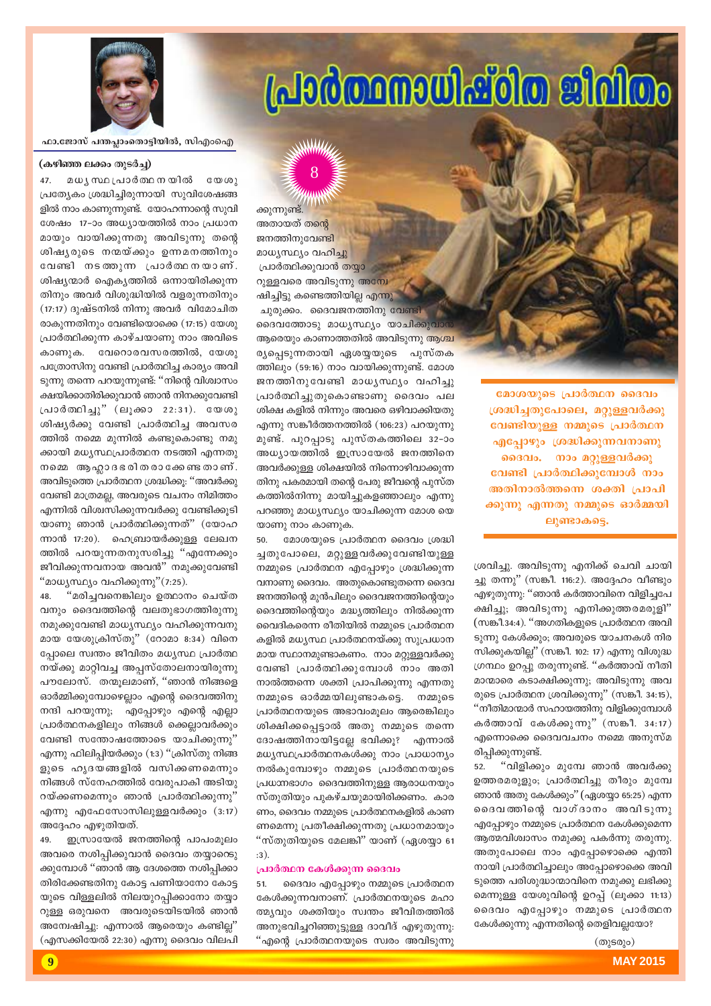$(\omega)$ ടരും)

52. "വിളിക്കും മുമ്പേ ഞാൻ അവർക്കു ഉത്തരമരുളും; പ്രാർത്ഥിച്ചു തീരും മുമ്പേ ഞാൻ അതു കേൾക്കും'' (ഏശയ്യാ 65:25) എന്ന ദൈവത്തിന്റെ വാഗ്ദാനം അവിടുന്നു  $f$ എപ്പോഴും നമ്മുടെ പ്രാർത്ഥന കേൾക്കുമെന്ന ആത്മവിശ്വാസം നമുക്കു പകർന്നു തരുന്നു. അതുപോലെ നാം എപ്പോഴൊക്കെ എന്തി നായി പ്രാർത്ഥിച്ചാലും അപ്പോഴൊക്കെ അവി ടുത്തെ പരിശുദ്ധാന്മാവിനെ നമുക്കു ലഭിക്കു മെന്നുള്ള യേശുവിന്റെ ഉറപ്പ് (ലൂക്കാ 11:13) ദൈവം എപ്പോഴും നമ്മുടെ പ്രാർത്ഥന കേൾക്കുന്നു എന്നതിന്റെ തെളിവല്ലയോ?

എഴുതുന്നു: ''ഞാൻ കർത്താവിനെ വിളിച്ചപേ ക്ഷിച്ചു; അവിടുന്നു എനിക്കുത്തരമരുളി" (സങ്കീ.34:4). "അഗതികളുടെ പ്രാർത്ഥന അവി ടുന്നു കേൾക്കും; അവരുടെ യാചനകൾ നിര സിക്കുകയില്ല" (സങ്കീ. 102: 17) എന്നു വിശുദ്ധ ്രന്ഥം ഉറപ്പു തരുന്നുണ്ട്. ''കർത്താവ് നീതി മാന്മാരെ കടാക്ഷിക്കുന്നു; അവിടുന്നു അവ രുടെ പ്രാർത്ഥന ശ്രവിക്കുന്നു" (സങ്കീ. 34:15), "നീതിമാന്മാർ സഹായത്തിനു വിളിക്കുമ്പോൾ കർത്താവ് കേൾക്കുന്നു"  $(m$ ങ്കീ. 34:17) എന്നൊക്കെ ദൈവവചനം നമ്മെ അനുസ്മ $\,$ രിപ്പിക്കുന്നുണ്ട്.

്രശവിച്ചു. അവിടുന്നു എനിക്ക് ചെവി ചായി ച്ചു തന്നു" (സങ്കീ. 116:2). അദ്ദേഹം വീണ്ടും

**ലൂണ്ടാകടെ.** 

മോശയുടെ പ്രാർത്ഥന ദൈവം **{i≤n-®-Xp-t]m-se, a‰p-≈-h¿°p-**വേണ്ടിയുള്ള നമ്മുടെ **പ്രാർത്ഥ**ന **എപ്പോഴും ശ്രദ്ധിക്കുന്നവനാണു ദൈവം. നാം മറ്റുള്ളവർക്കു** വേണ്ടി പ്രാർത്ഥിക്കുമ്പോൾ നാം അതിനാൽത്തന്നെ ശക്തി **പ്രാപി** ക്കുന്നു എന്നതു നമ്മുടെ ഓർമ്മയി

പ്രർത്ഥനാധിഷ്ഠിത ജിമിതം



ഫാ.ജോസ് പന്തപ്ലാംതൊട്ടിയിൽ, സിഎ<u>ം</u>ഐ

#### (കഴിഞ്ഞ ലക്കം തുടർച്ച)

മധുസ്ഥ പ്രാർത്ഥ നയിൽ യേശു പ്രത്യേകം ശ്രദ്ധിച്ചിരുന്നായി സുവിശേഷങ്ങ ളിൽ നാം കാണുന്നുണ്ട്. യോഹന്നാന്റെ സുവി ശേഷം 17-ാം അധ്യായത്തിൽ നാം പ്രധാന മായും വായിക്കുന്നതു അവിടുന്നു തന്റെ ശിഷൃരുടെ നന്മയ്ക്കും ഉന്നമനത്തിനും വേണ്ടി നടത്തുന്ന പ്രാർത്ഥനയാണ്. ശിഷ്യന്മാർ ഐകൃത്തിൽ ഒന്നായിരിക്കുന്ന തിനും അവർ വിശുദ്ധിയിൽ വളരുന്നതിനും  $(17:17)$  ദുഷ്ടനിൽ നിന്നു അവർ വിമോചിത രാകുന്നതിനും വേണ്ടിയൊക്കെ  $(17:15)$  യേശു പ്രാർത്ഥിക്കുന്ന കാഴ്ചയാണു നാം അവിടെ കാണുക. വേറൊരവസരത്തിൽ, യേശു പത്രോസിനു വേണ്ടി പ്രാർത്ഥിച്ച കാര്യം അവി ടുന്നു തന്നെ പറയുന്നുണ്ട്: "നിന്റെ വിശ്വാസം ക്ഷയിക്കാതിരിക്കുവാൻ ഞാൻ നിനക്കുവേണ്ടി പ്രാർത്ഥിച്ചു" (ലൂക്കാ 22:31). യേശു ശിഷ്യർക്കു വേണ്ടി പ്രാർത്ഥിച്ച അവസര ത്തിൽ നമ്മെ മുന്നിൽ കണ്ടുകൊണ്ടു നമു ക്കായി മധ്യസ്ഥപ്രാർത്ഥന നടത്തി എന്നതു നമ്മെ ആഹ്ലാദഭരിതരാക്കേണ്ടതാണ്. അവിടുത്തെ പ്രാർത്ഥന ശ്രദ്ധിക്കു: ''അവർക്കു വേണ്ടി മാത്രമല്ല, അവരുടെ വചനം നിമിത്തം എന്നിൽ വിശ്വസിക്കുന്നവർക്കു വേണ്ടിക്കുടി യാണു ഞാൻ പ്രാർത്ഥിക്കുന്നത്" (യോഹ ന്നാൻ 17:20). ഹെബ്രായർക്കുള്ള ലേഖന ത്തിൽ പറയുന്നതനുസരിച്ചു "എന്നേക്കും ജീവിക്കുന്നവനായ അവൻ" നമുക്കുവേണ്ടി "മാധൃസ്ഥ്യം വഹിക്കുന്നു" $(7:25)$ .

48. "മരിച്ചവനെങ്കിലും ഉത്ഥാനം ചെയ്ത വനും ദൈവത്തിന്റെ വലതുഭാഗത്തിരുന്നു നമുക്കുവേണ്ടി മാധൃസ്ഥ്യം വഹിക്കുന്നവനു മായ യേശുക്രിസ്തു" (റോമാ  $8:34$ ) വിനെ പ്പോലെ സ്വന്തം ജീവിതം മധൃസ്ഥ പ്രാർത്ഥ നയ്ക്കു മാറ്റിവച്ച അപ്പസ്തോലനായിരുന്നു പൗലോസ്. തന്മൂലമാണ്, "ഞാൻ നിങ്ങളെ ഓർമ്മിക്കുമ്പോഴെല്ലാം എന്റെ ദൈവത്തിനു നന്ദി പറയുന്നു; എപ്പോഴും എന്റെ എല്ലാ പ്രാർത്ഥനകളിലും നിങ്ങൾ ക്കെല്ലാവർക്കും വേണ്ടി സന്തോഷത്തോടെ യാചിക്കുന്നു $"$ എന്നു ഫിലിപ്പിയർക്കും (1:3) "ക്രിസ്തു നിങ്ങ ളുടെ ഹൃദയങ്ങളിൽ വസിക്കണമെന്നും നിങ്ങൾ സ്നേഹത്തിൽ വേരുപാകി അടിയു  $\sigma$ യ്ക്കണമെന്നും ഞാൻ പ്രാർത്ഥിക്കുന്നു $^{\prime\prime}$ എന്നു എഫേസോസിലുള്ളവർക്കും  $(3:17)$ അദ്ദേഹം എഴുതിയത്.

49. ഇസ്രായേൽ ജനത്തിന്റെ പാപംമൂലം അവരെ നശിപ്പിക്കുവാൻ ദൈവം തയ്യാറെടു ക്കുമ്പോൾ ''ഞാൻ ആ ദേശത്തെ നശിപ്പിക്കാ തിരിക്കേണ്ടതിനു കോട്ട പണിയാനോ കോട്ട യുടെ വിള്ളലിൽ നിലയുറപ്പിക്കാനോ തയ്യാ  $\Omega$ ള്ള ഒരുവനെ അവരുടെയിടയിൽ ഞാൻ അമ്പേഷിച്ചു: എന്നാൽ ആരെയും കണ്ടില്<sup>"</sup>  $\sigma$  (എസക്കിയേൽ 22:30) എന്നു ദൈവം വിലപി ജനത്തിനുവേണ്ടി മാധ്യസ്ഥ്യം വഹിച്ചു {പാർത്ഥിക്കുവാൻ തയ്യാ റുള്ളവരെ അവിടുന്നു അന്വേ ഷിച്ചിട്ടു കണ്ടെത്തിയില്ല എന്നു <sup>1</sup> ചുരുക്കം. ദൈവജനത്തിനു വേണ്ടി ദൈവത്തോടു മാധൃസ്ഥ്യം യാചിക്കുവര ആരെയും കാണാത്തതിൽ അവിടുന്നു ആശ്ച രൃപ്പെടുന്നതായി ഏശയ്യയുടെ **പുസ്**തക ത്തിലും (59:16) നാം വായിക്കുന്നുണ്ട്. മോശ ജനത്തിനുവേണ്ടി മാധൃസ്ഥ്യം വഹിച്ചു പ്രാർത്ഥിച്ചുതുകൊണ്ടാണു ദൈവം പല ശിക്ഷ കളിൽ നിന്നും അവരെ ഒഴിവാക്കിയതു എന്നു സങ്കീർത്തനത്തിൽ  $(106:23)$  പറയുന്നു മുണ്ട്. പുറപ്പാടു പുസ്തകത്തിലെ 32-ാം അധ്യായത്തിൽ ഇസ്രായേൽ ജനത്തിനെ അവർക്കുള്ള ശിക്ഷയിൽ നിന്നൊഴിവാക്കുന്ന തിനു പകരമായി തന്റെ പേരു ജീവന്റെ പുസ്ത കത്തിൽനിന്നു മായിച്ചുകളഞ്ഞാലും എന്നു പറഞ്ഞു മാധൃസ്ഥ്യം യാചിക്കുന്ന മോശ യെ

ക്കുന്നുണ്ട്. അതായത് തന്റെ

യാണു നാം കാണുക. മോശയുടെ പ്രാർത്ഥന ദൈവം ശ്രദ്ധി ച്ചതുപോലെ, മറ്റുള്ളവർക്കുവേണ്ടിയുള്ള  $\Omega$ നമ്മുടെ പ്രാർത്ഥന എപ്പോഴും ശ്രദ്ധിക്കുന്ന  $\alpha$ നാണു ദൈവം. അതുകൊണ്ടുതന്നെ ദൈവ ജനത്തിന്റെ മുൻപിലും ദൈവജനത്തിന്റെയും ദൈവത്തിന്റെയും മദ്ധ്യത്തിലും നിൽക്കുന്ന വൈദികരെന്ന രീതിയിൽ നമ്മുടെ പ്രാർത്ഥന കളിൽ മധ്യസ്ഥ പ്രാർത്ഥനയ്ക്കു സുപ്രധാന മായ സ്ഥാനമുണ്ടാകണം. നാം മറ്റുള്ളവർക്കു വേണ്ടി പ്രാർത്ഥിക്കുമ്പോൾ നാം അതി നാൽത്തന്നെ ശക്തി പ്രാപിക്കുന്നു എന്നതു  $\Omega$ നമ്മുടെ ഓർമ്മയിലുണ്ടാകട്ടെ. നമ്മുടെ {]m¿∞-\-bpsS A`m-hw-aqew Bsc-¶nepw ശിക്ഷിക്കപ്പെട്ടാൽ അതു നമ്മുടെ തന്നെ ദോഷത്തിനായിട്ടല്ലേ ഭവിക്കൂ? എന്നാൽ മധ്യസ്ഥപ്രാർത്ഥനകൾക്കു നാം പ്രാധാന്യം  $\omega$ സൽകുമ്പോഴും നമ്മുടെ പ്രാർത്ഥനയുടെ  $[$ പധാനഭാഗം ദൈവത്തിനുള്ള ആരാധനയും സ്തുതിയും പുകഴ്ചയുമായിരിക്കണം. കാര ണം, ദൈവം നമ്മുടെ പ്രാർത്ഥനകളിൽ കാണ ണമെന്നു പ്രതീക്ഷിക്കുന്നതു പ്രധാനമായും "സ്തുതിയുടെ മേലങ്കി" യാണ് (ഏശയ്യാ 61 :3).

### **{പാർത്ഥന കേൾക്കുന്ന ദൈവം**

51. ടൈവം എപ്പോഴും നമ്മുടെ പ്രാർത്ഥന കേൾക്കുന്നവനാണ്. പ്രാർത്ഥനയുടെ മഹാ ത്മ്യവും ശക്തിയും സ്വന്തം ജീവിതത്തിൽ അനുഭവിച്ചറിഞ്ഞുട്ടുള്ള ദാവീദ് എഴുതുന്നു: "എന്റെ പ്രാർത്ഥനയുടെ സ്വരം അവിടുന്നു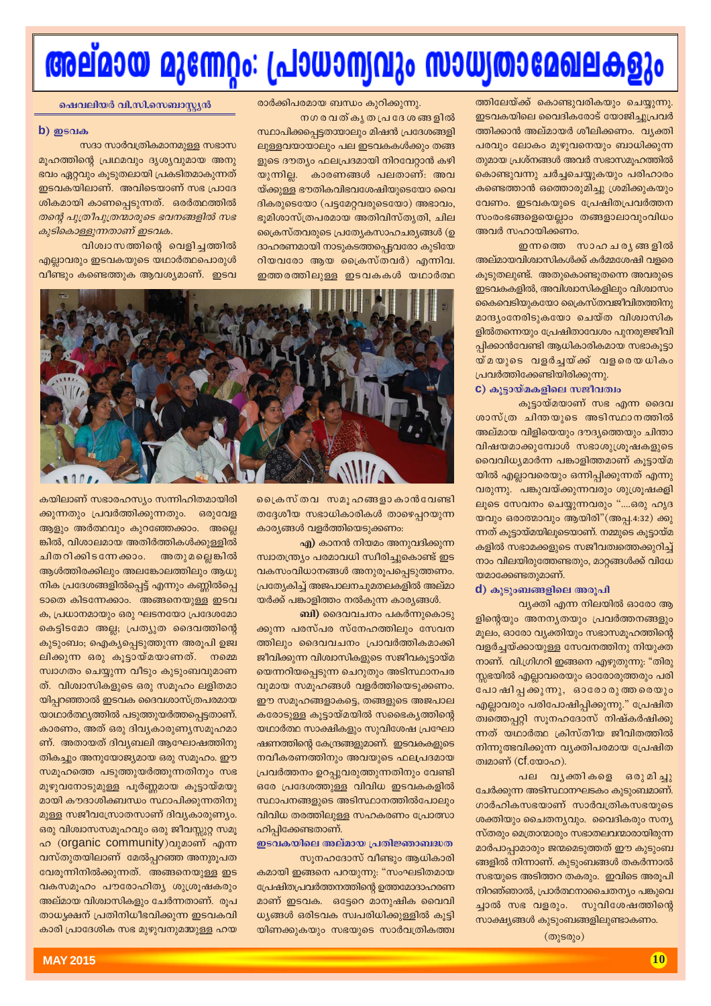# അല്മായ മുന്നേറ്റം: പ്രാധാന്യവും സാധ്യതാമേഖലകളും

സ്ഥാപിക്കപ്പെട്ടതയാലും മിഷൻ പ്രദേശങ്ങളി

ലുള്ളവയായാലും പല ഇടവകകൾക്കും തങ്ങ

ളുടെ ദൗത്യം ഫലപ്രദമായി നിറവേറ്റാൻ കഴി

യ്ക്കുള്ള ഭൗതികവിഭവശേഷിയുടെയോ വൈ

ദികരുടെയോ (പട്ടമേറ്റവരുടെയോ) അഭാവം,

ഭൂമിശാസ്ത്രപരമായ അതിവിസ്ത്യതി, ചില

ക്രൈസ്തവരുടെ പ്രത്യേകസാഹചര്യങ്ങൾ (ഉ

ദാഹരണമായി നാടുകടത്തപ്പെട്ടവരോ കുടിയേ

റിയവരോ ആയ ക്രൈസ്തവർ) എന്നിവ.

ഇത്തരത്തിലുള്ള ഇടവകകൾ യഥാർത്ഥ

കാരണങ്ങൾ പലതാണ്: അവ

ത്തിലേയ്ക്ക് കൊണ്ടുവരികയും ചെയ്യുന്നു. ഇടവകയിലെ വൈദികരോട് യോജിച്ചുപ്രവർ ത്തിക്കാൻ അല്മായർ ശീലിക്കണം. വ്യക്തി പരവും ലോകം മുഴുവനെയും ബാധിക്കുന്ന തുമായ പ്രശ്നങ്ങൾ അവർ സഭാസമൂഹത്തിൽ കൊണ്ടുവന്നു ചർച്ചചെയ്യുകയും പരിഹാരം കണ്ടെത്താൻ ഒത്തൊരുമിച്ചു ശ്രമിക്കുകയും വേണം. ഇടവകയുടെ പ്രേഷിതപ്രവർത്തന സംരംഭങ്ങളെയെല്ലാം തങ്ങളാലാവുംവിധം അവർ സഹായിക്കണം.

ഇന്നത്തെ സാഹചര്യങ്ങളിൽ അല്മായവിശ്വാസികൾക്ക് കർമ്മശേഷി വളരെ കൂടുതലുണ്ട്. അതുകൊണ്ടുതന്നെ അവരുടെ ഇടവകകളിൽ, അവിശ്വാസികളിലും വിശ്വാസം കൈവെടിയുകയോ ക്രൈസ്തവജീവിതത്തിനു മാന്ദ്യംനേരിടുകയോ ചെയ്ത വിശ്വാസിക ളിൽതന്നെയും പ്രേഷിതാവേശം പുനരുജ്ജീവി പ്പിക്കാൻവേണ്ടി ആധികാരികമായ സഭാകൂട്ടാ യ്മയുടെ വളർച്ചയ്ക്ക് വളരെയധികം പ്രവർത്തിക്കേണ്ടിയിരിക്കുന്നു.

### C) കൂട്ടായ്മകളിലെ സജീവത്വം

കൂട്ടായ്മയാണ് സഭ എന്ന ദൈവ ശാസ്ത്ര ചിന്തയുടെ അടിസ്ഥാനത്തിൽ അല്മായ വിളിയെയും ദൗദ്യത്തെയും ചിന്താ വിഷയമാക്കുമ്പോൾ സഭാശുശ്രൂഷകളുടെ വൈവിധ്യമാർന്ന പങ്കാളിത്തമാണ് കൂട്ടായ്മ യിൽ എല്ലാവരെയും ഒന്നിപ്പിക്കുന്നത് എന്നു വരുന്നു. പങ്കുവയ്ക്കുന്നവരും ശുശ്രൂഷക്ളി ലൂടെ സേവനം ചെയ്യുന്നവരും "....ഒരു ഹൃദ യവും ഒരാത്മാവും ആയിരി"(അപ്പ.4:32) ക്കു ന്നത് കൂട്ടായ്മയിലൂടെയാണ്. നമ്മുടെ കൂട്ടായ്മ കളിൽ സഭാമക്കളുടെ സജീവത്വത്തെക്കുറിച് നാം വിലയിരുത്തേണ്ടതും, മാറ്റങ്ങൾക്ക് വിധേ യമാക്കേണ്ടതുമാണ്.

#### d) കുടുംബങ്ങളിലെ അരുപി

വ്യക്തി എന്ന നിലയിൽ ഓരോ ആ ളിന്റെയും അനന്യതയും പ്രവർത്തനങ്ങളും മൂലം, ഓരോ വ്യക്തിയും സഭാസമൂഹത്തിന്റെ വളർച്ചയ്ക്കായുള്ള സേവനത്തിനു നിയുക്ത നാണ്. വി.ഗ്രിഗറി ഇങ്ങനെ എഴുതുന്നു: "തിരു സ്സഭയിൽ എല്ലാവരെയും ഓരോരുത്തരും പരി പോഷിപ്പക്കുന്നു, ഓരോരുത്തരെയും എല്ലാവരും പരിപോഷിപ്പിക്കുന്നു." പ്രേഷിത ത്വത്തെപ്പറ്റി സൂനഹദോസ് നിഷ്കർഷിക്കു ന്നത് യഥാർത്ഥ ക്രിസ്തീയ ജീവിതത്തിൽ നിന്നുത്ഭവിക്കുന്ന വ്യക്തിപരമായ പ്രേഷിത ത്വമാണ് ( $Cf$ .യോഹ).

പല വൃക്തികളെ ഒരുമിച്ചു ചേർക്കുന്ന അടിസ്ഥാനഘടകം കുടുംബമാണ്. ഗാർഹികസഭയാണ് സാർവത്രികസഭയുടെ ശക്തിയും ചൈതനൃവും. വൈദികരും സനൃ സ്തരും മെത്രാന്മാരും സഭാതലവന്മാരായിരുന്ന മാർപാപ്പാമാരും ജന്മമെടുത്തത് ഈ കുടുംബ ങ്ങളിൽ നിന്നാണ്. കുടുംബങ്ങൾ തകർന്നാൽ സഭയുടെ അടിത്തറ തകരും. ഇവിടെ അരുപി നിറഞ്ഞാൽ, പ്രാർത്ഥനാചൈതന്യം പങ്കുവെ ച്ചാൽ സഭ വളരും. സുവിശേഷത്തിന്റെ സാക്ഷ്യങ്ങൾ കുടുംബങ്ങളിലുണ്ടാകണം.

 $(\omega)$ ടരും)

രാർക്കിപരമായ ബന്ധം കുറിക്കുന്നു. <u>നഗരവത്ക്യ തപ്രദേശങ്ങളിൽ</u>

യുന്നില്ല.

ഷെവലിയർ വി.സി.സെബാസ്ല്യൻ

#### $b)$  ഇടവക

സദാ സാർവത്രികമാനമുള്ള സഭാസ മൂഹത്തിന്റെ പ്രഥമവും ദൃശ്യവുമായ അനു ഭവം ഏറ്റവും കൂടുതലായി പ്രകടിതമാകുന്നത് ഇടവകയിലാണ്. അവിടെയാണ് സഭ പ്രാദേ ശികമായി കാണപ്പെടുന്നത്. ഒരർത്ഥത്തിൽ തന്റെ പുത്രീപുത്രന്മാരുടെ ഭവനങ്ങളിൽ സഭ കൂടികൊള്ളുന്നതാണ് ഇടവക.

വിശ്വാസത്തിന്റെ വെളിച്ചത്തിൽ എല്ലാവരും ഇടവകയുടെ യഥാർത്ഥപൊരുൾ വീണ്ടും കണ്ടെത്തുക ആവശ്യമാണ്. ഇടവ



പ്രൈസ്തവ സമൂഹങ്ങളാകാൻവേണ്ടി തദേശീയ സഭാധികാരികൾ താഴെപ്പറയുന്ന കാര്യങ്ങൾ വളർത്തിയെടുക്കണം:

എ) കാനൻ നിയമം അനുവദിക്കുന്ന സ്വാതന്ത്ര്യം പരമാവധി സ്വീരിച്ചുകൊണ്ട് ഇട വകസംവിധാനങ്ങൾ അനുരൂപപ്പെടുത്തണം. പ്രത്യേകിച്ച് അജപാലനചുമതലകളിൽ അല്മാ യർക്ക് പങ്കാളിത്തം നൽകുന്ന കാര്യങ്ങൾ.

ബി) ദൈവവചനം പകർന്നുകൊടു ക്കുന്ന പരസ്പര സ്നേഹത്തിലും സേവന ത്തിലും ദൈവവചനം പ്രാവർത്തികമാക്കി ജീവിക്കുന്ന വിശ്വാസികളുടെ സജീവകുട്ടായ്മ യെന്നറിയപ്പെടുന്ന ചെറുതും അടിസ്ഥാനപര വുമായ സമൂഹങ്ങൾ വളർത്തിയെടുക്കണം. ഈ സമൂഹങ്ങളാകട്ടെ, തങ്ങളുടെ അജപാല കരോട്ടുള്ള കൂടായ്മയിൽ സഭൈക്യത്തിൻെ യഥാർത്ഥ സാക്ഷികളും സുവിശേഷ പ്രഘോ ഷണത്തിന്റെ കേന്ദ്രങ്ങളുമാണ്. ഇടവകകളുടെ നവീകരണത്തിനും അവയുടെ ഫലപ്രദമായ പ്രവർത്തനം ഉറപ്പുവരുത്തുന്നതിനും വേണ്ടി ഒരേ പ്രദേശത്തുള്ള വിവിധ ഇടവകകളിൽ സ്ഥാപനങ്ങളുടെ അടിസ്ഥാനത്തിൽപോലും വിവിധ തരത്തിലുള്ള സഹകരണം പ്രോത്സാ ഹിപ്പിക്കേണ്ടതാണ്.

### ഇടവകയിലെ അല്മായ പ്രതിജ്ഞാബദ്ധത സുനഹദോസ് വീണ്ടും ആധികാരി

കമായി ഇങ്ങനെ പറയുന്നു: "സംഘടിതമായ പ്രേഷിതപ്രവർത്തനത്തിന്റെ ഉത്തമോദാഹരണ മാണ് ഇടവക. ഒട്ടേറെ മാനുഷിക വൈവി ധ്യങ്ങൾ ഒരിടവക സ്വപരിധിക്കുള്ളിൽ കൂട്ടി യിണക്കുകയും സഭയുടെ സാർവത്രികത്ത്വ

കയിലാണ് സഭാരഹസ്യം സന്നിഹിതമായിരി ക്കുന്നതും പ്രവർത്തിക്കുന്നതും. ഒരുവേള ആളും അർത്ഥവും കുറഞ്ഞേക്കാം. അല്ലെ ങ്കിൽ, വിശാലമായ അതിർത്തികൾക്കുള്ളിൽ ചിതറിക്കിടന്നേക്കാം. അതുമല്ലെങ്കിൽ ആൾത്തിരക്കിലും അലങ്കോലത്തിലും ആധു നിക പ്രദേശങ്ങളിൽപ്പെട്ട് എന്നും കണ്ണിൽപ്പെ ടാതെ കിടന്നേക്കാം. അങ്ങനെയുള്ള ഇടവ ക, പ്രധാനമായും ഒരു ഘടനയോ പ്രദേശമോ കെട്ടിടമോ അല്ല; പ്രത്യുത ദൈവത്തിന്റെ കുടുംബം; ഐകൃപ്പെടുത്തുന്ന അരൂപി ഉജ്വ ലിക്കുന്ന ഒരു കൂട്ടായ്മയാണത്. നമ്മെ സ്ഥാഗതം ചെയ്യുന്ന വീടും കുടുംബവുമാണ ത്. വിശ്വാസികളുടെ ഒരു സമൂഹം ലളിതമാ യിപ്പറഞ്ഞാൽ ഇടവക ദൈവശാസ്ത്രപരമായ യാഥാർത്ഥ്യത്തിൽ പടുത്തുയർത്തപ്പെട്ടതാണ്. കാരണം, അത് ഒരു ദിവ്യകാരുണ്യസമൂഹമാ ണ്. അതായത് ദിവ്യബലി ആഘോഷത്തിനു തികച്ചും അനുയോജ്യമായ ഒരു സമൂഹം. ഈ സമൂഹത്തെ പടുത്തുയർത്തുന്നതിനും സഭ മുഴുവനോടുമുള്ള പൂർണ്ണമായ കൂട്ടായ്മയു മായി കൗദാശിക്ക്വന്ധം സ്ഥാപിക്കുന്നതിനു മുള്ള സജീവസ്രോതസാണ് ദിവ്യകാരുണ്യം. ഒരു വിശ്വാസസമൂഹവും ഒരു ജീവസ്സുറ്റ സമൂ ഹ (organic community)വുമാണ് എന്ന വസ്തുതയിലാണ് മേൽപ്പറഞ്ഞ അനുരൂപത വേരുന്നിനിൽക്കുന്നത്. അങ്ങനെയുള്ള ഇട വകസമൂഹം പൗരോഹിത്യ ശുശ്രൂഷകരും അല്മായ വിശ്വാസികളും ചേർന്നതാണ്. രൂപ താധൃക്ഷന് പ്രതിനിധീഭവിക്കുന്ന ഇടവകവി കാരി പ്രാദേശിക സഭ മുഴുവനുമയുള്ള ഹയ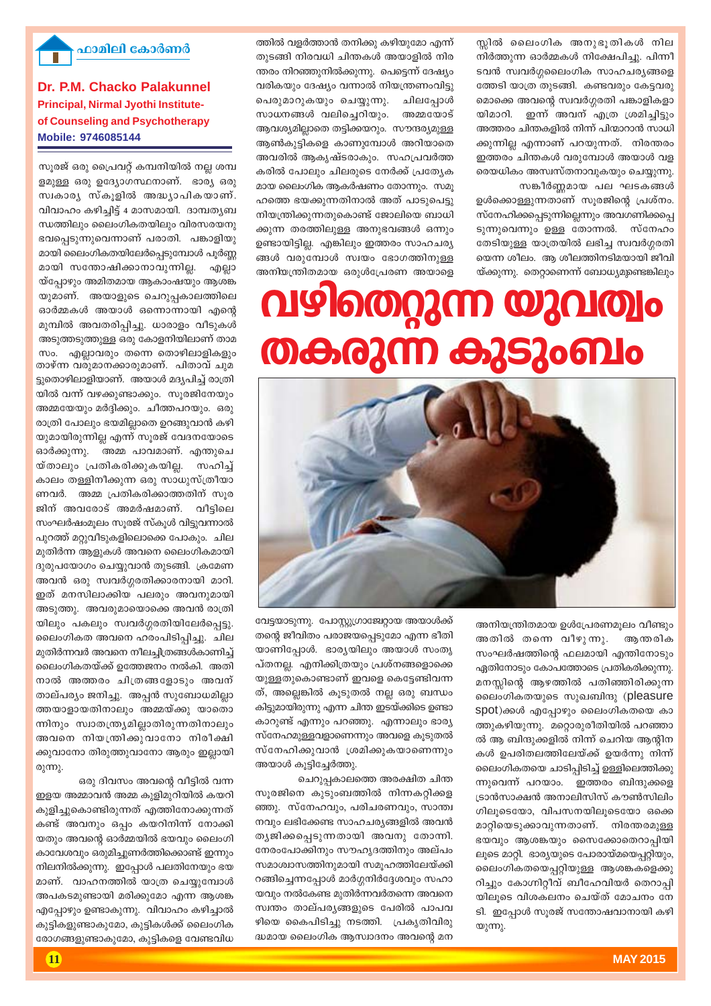

വേട്ടയാടുന്നു. പോസ്റ്റുഗ്രാജ്വേറ്റായ അയാൾക്ക് തന്റെ ജീവിതം പരാജയപ്പെടുമോ എന്ന ഭീതി യാണിപ്പോൾ. ഭാര്യയിലും അയാൾ സംതൃ പ്തനല്ല. എനിക്കിത്രയും പ്രശ്നങ്ങളൊക്കെ യുള്ളതുകൊണ്ടാണ് ഇവളെ കെട്ടേണ്ടിവന്ന ത്, അല്ലെങ്കിൽ കൂടുതൽ നല്ല ഒരു ബന്ധം കിട്ടുമായിരുന്നു എന്ന ചിന്ത ഇടയ്ക്കിടെ ഉണ്ടാ കാറുണ്ട് എന്നും പറഞ്ഞു. എന്നാലും ഭാരൃ സ്നേഹമുള്ളവളാണെന്നും അവളെ കൂടുതൽ സ്നേഹിക്കുവാൻ *ശ്ര*മിക്കുകയാണെന്നും അയാൾ കൂട്ടിച്ചേർത്തു.

ചെറുപ്പകാലത്തെ അരക്ഷിത ചിന്ത സുരജിനെ കുടുംബത്തിൽ നിന്നകറ്റിക്കള ഞ്ഞു. സ്നേഹവും, പരിചരണവും, സാന്ത്വ  $\mathfrak m$ വും ലഭിക്കേണ്ട സാഹചര്യങ്ങളിൽ അവൻ തൃജിക്കപ്പെടുന്നതായി അവനു തോന്നി. നേരംപോക്കിനും സൗഹൃദത്തിനും അല്പം സമാശ്വാസത്തിനുമായി സമൂഹത്തിലേയ്ക്കി  $\alpha$ ങ്ങിച്ചെന്നപ്പോൾ മാർഗ്ഗനിർദ്ദേശവും സഹാ യവും നൽകേണ്ട മുതിർന്നവർതന്നെ അവനെ സ്വന്തം താല്പര്യങ്ങളുടെ പേരിൽ പാപവ ഴിയെ കൈപിടിച്ചു നടത്തി. പ്രകൃതിവിരു ദ്ധമായ ലൈംഗിക ആസ്വാദനം അവന്റെ മന

 $@$ 

**Dr. P.M. Chacko Palakunnel Principal, Nirmal Jyothi Instituteof Counseling and Psychotherapy Mobile: 9746085144**

**ഹാമിലി കോർണർ** 

സുരജ് ഒരു പ്രൈവറ്റ് കമ്പനിയിൽ നല്ല ശമ്പ ളമുള്ള ഒരു ഉദ്യോഗസ്ഥനാണ്. ഭാര്യ ഒരു സ്വകാര്യ സ്കൂളിൽ അദ്ധ്യാപികയാണ്. വിവാഹം കഴിച്ചിട്ട് 4 മാസമായി. ദാമ്പതൃബ  $\omega$ -സത്തിലും ലൈംഗികതയിലും വിരസരയനു  $\mathbf{S}$ വപ്പെടുന്നുവെന്നാണ് പരാതി. പങ്കാളിയു മായി ലൈംഗികതയിലേർപ്പെടുമ്പോൾ പൂർണ്ണ മായി സന്തോഷിക്കാനാവുന്നില്ല. എല്ലാ  $\breve{\text{w}}$ പ്വോഴും അമിതമായ ആകാംഷയും ആശങ്ക യുമാണ്. അയാളുടെ ചെറുപ്പകാലത്തിലെ ഓർമ്മകൾ അയാൾ ഒന്നൊന്നായി എന്റെ മുമ്പിൽ അവതരിപ്പിച്ചു. ധാരാളം വീടുകൾ അടുത്തടുത്തുള്ള ഒരു കോളനിയിലാണ് താമ സം. എല്ലാവരും തന്നെ തൊഴിലാളികളും താഴ്ന്ന വരുമാനക്കാരുമാണ്. പിതാവ് ചുമ ട്ടുതൊഴിലാളിയാണ്. അയാൾ മദ്യപിച്ച് രാത്രി യിൽ വന്ന് വഴക്കുണ്ടാക്കും. സൂരജിനേയും അമ്മയേയും മർദ്ദിക്കും. ചീത്തപറയും. ഒരു രാത്രി പോലും ഭയമില്ലാതെ ഉറങ്ങുവാൻ കഴി യുമായിരുന്നില്ല എന്ന് സൂരജ് വേദനയോടെ ഓർക്കുന്നു. അമ്മ പാവമാണ്. എന്തുചെ യ്താലും പ്രതികരിക്കുകയില്ല. സഹിച്ച് കാലം തള്ളിനീക്കുന്ന ഒരു സാധുസ്ത്രീയാ ണവർ. അമ്മ**്പംതികരിക്കാത്തതിന്** സ്വര ജിന് അവരോട് അമർഷമാണ്. വീട്ടിലെ സംഘർഷംമൂലം സുരജ് സ്കൂൾ വിട്ടുവന്നാൽ പുറത്ത് മറ്റുവീടുകളിലൊക്കെ പോകും. ചില മുതിർന്ന ആളുകൾ അവനെ ലൈംഗികമായി ദുരുപയോഗം ചെയ്യുവാൻ തുടങ്ങി. ക്രമേണ അവൻ ഒരു സ്വവർഗ്ഗരതിക്കാരനായി മാറി. ഇത് മനസിലാക്കിയ പലരും അവനുമായി അടുത്തു. അവരുമായൊക്കെ അവൻ രാത്രി യിലും പകലും സ്വവർഗ്ഗരതിയിലേർപ്പെട്ടു. ലൈംഗികത അവനെ ഹരംപിടിപ്പിച്ചു. ചില മുതിർന്നവർ അവനെ നീലച്ചിത്രങ്ങൾകാണിച്ച് ലൈംഗികതയ്ക്ക് ഉത്തേജനം നൽകി. അതി നാൽ അത്തരം ചിത്രങ്ങളോടും അവന് താല്പര്യം ജനിച്ചു. അപ്പൻ സുബോധമില്ലാ ത്തയാളായതിനാലും അമ്മയ്ക്കു യാതൊ ന്നിനും സ്വാതന്ത്രൃമില്ലാതിരുന്നതിനാലും അവനെ നിയന്ത്രിക്കുവാനോ നിരീക്ഷി ക്കുവാനോ തിരുത്തുവാനോ ആരും ഇല്ലായി

ഒരു ദിവസം അവന്റെ വീട്ടിൽ വന്ന ഇളയ അമ്മാവൻ അമ്മ കുളിമുറിയിൽ കയറി കുളിച്ചുകൊണ്ടിരുന്നത് എത്തിനോക്കുന്നത് കണ്ട് അവനും ഒപ്പം കയറിനിന്ന് നോക്കി യതും അവന്റെ ഓർമ്മയിൽ ഭയവും ലൈംഗി കാവേശവും ഒരുമിച്ചുണർത്തിക്കൊണ്ട് ഇന്നും നിലനിൽക്കുന്നു. ഇപ്പോൾ പലതിനേയും ഭയ മാണ്. വാഹനത്തിൽ യാത്ര ചെയ്യുമ്പോൾ അപകടമുണ്ടായി മരിക്കുമോ എന്ന ആശങ്ക എപ്പോഴും ഉണ്ടാകുന്നു. വിവാഹം കഴിച്ചാൽ കുട്ടികളുണ്ടാകുമോ, കുട്ടികൾക്ക് ലൈംഗിക രോഗങ്ങളുണ്ടാകുമോ, കുട്ടികളെ വേണ്ടവിധ

അനിയന്ത്രിതമായ ഉൾപ്രേരണമുലം വീണ്ടും അതിൽ തന്നെ വീഴുന്നു. ആന്തരിക

 $\omega_1$ cm.

സംഘർഷത്തിന്റെ ഫലമായി എന്തിനോടും  $\alpha$ ഏതിനോടും കോപത്തോടെ പ്രതികരിക്കുന്നു. മനസ്സിന്റെ ആഴത്തിൽ പതിഞ്ഞിരിക്കുന്ന ലൈംഗികതയുടെ സുഖബിന്ദു (pleasure  $spot)$ ക്കൾ എപ്പോഴും ലൈംഗികതയെ കാ ത്തുകഴിയുന്നു. മറ്റൊരുരീതിയിൽ പറഞ്ഞാ ൽ ആ ബിന്ദുക്കളിൽ നിന്ന് ചെറിയ ആന്റിന കൾ ഉപരിതലത്തിലേയ്ക്ക് ഉയർന്നു നിന്ന് ലൈംഗികതയെ ചാടിപ്പിടിച്ച് ഉള്ളിലെത്തിക്കു ന്നുവെന്ന് പറയാം. ഇത്തരം ബിന്ദുക്കളെ (ടാൻസാക്ഷൻ അനാലിസിസ് കൗൺസിലിം  $\Omega$ ലൂടെയോ, വിപസനയിലൂടെയോ ഒക്കെ മാറ്റിയെടുക്കാവുന്നതാണ്. നിരന്തരമുള്ള ഭയവും ആശങ്കയും സൈക്കോതെറാപ്പിയി ലൂടെ മാറ്റി. ഭാര്യയുടെ പോരായ്മയെപ്പറ്റിയും, ലൈംഗികതയെപ്പറ്റിയുള്ള ആശങ്കകളെക്കു റിച്ചും കോഗ്നിറ്റീവ് ബീഹേവിയർ തെറാപ്പി യിലൂടെ വിശകലനം ചെയ്ത് മോചനം നേ ടി. ഇപ്പോൾ സുരജ് സന്തോഷവാനായി കഴി

അനിയന്ത്രിതമായ ഒരുൾപ്രേരണ അയാളെ **hdiship bp MAG2M A2S206110** തേടിയുള്ള യാത്രയിൽ ലഭിച്ച സ്വവർഗ്ഗരതി യെന്ന ശീലം. ആ ശീലത്തിനടിമയായി ജീവി യ്ക്കുന്നു. തെറ്റാണെന്ന് ബോധ്യമുണ്ടെങ്കിലും

ത്തിൽ വളർത്താൻ തനിക്കു കഴിയുമോ എന്ന് തുടങ്ങി നിരവധി ചിന്തകൾ അയാളിൽ നിര ന്തരം നിറഞ്ഞുനിൽക്കുന്നു. പെട്ടെന്ന് ദേഷ്യം വരികയും ദേഷ്യം വന്നാൽ നിയന്ത്രണംവി<u>ട</u>ു പെരുമാറുകയും ചെയ്യുന്നു. ചിലപ്പോൾ സാധനങ്ങൾ വലിചെറിയും. അമ്മയോട് ആവശ്യമില്ലാതെ തട്ടിക്കയറും. സൗന്ദര്യമുള്ള ആൺകൂട്ടികളെ കാണുമ്പോൾ അറിയാതെ അവരിൽ ആകൃഷ്ടരാകും. സഹപ്രവർത്ത കരിൽ പോലും ചിലരുടെ നേർക്ക് പ്രത്യേക മായ ലൈംഗിക ആകർഷണം തോന്നും. സമു ഹത്തെ ഭയക്കുന്നതിനാൽ അത് പാടുപെട്ടു നിയന്ത്രിക്കുന്നതുകൊണ്ട് ജോലിയെ ബാധി ക്കുന്ന തരത്തിലുള്ള അനുഭവങ്ങൾ ഒന്നും ഉണ്ടായിട്ടില്ല. എങ്കിലും ഇത്തരം സാഹചര്യ ങ്ങൾ വരുമ്പോൾ സ്വയം ഭോഗത്തിനുള്ള

സങ്കീർണ്ണമായ പല ഘടകങ്ങൾ ഉൾക്കൊള്ളുന്നതാണ് സുരജിന്റെ പ്രശ്നം. സ്നേഹിക്കപ്പെടുന്നില്ലെന്നും അവഗണിക്കപ്പെ ടുന്നുവെന്നും ഉള്ള തോന്നൽ. സ്നേഹം

സ്സിൽ ലൈംഗിക അനുഭൂതികൾ നില നിർത്തുന്ന ഓർമ്മകൾ നിക്ഷേപിച്ചു. പിന്നീ ടവൻ സ്വവർഗ്ഗലൈംഗിക സാഹചര്യങ്ങളെ ത്തേടി യാത്ര തുടങ്ങി. കണ്ടവരും കേട്ടവരു മൊക്കെ അവന്റെ സ്വവർഗ്ഗരതി പങ്കാളികളാ യിമാറി. ഇന്ന് അവന് എത്ര ശ്രമിച്ചിട്ടും .<br>അത്തരം ചിന്തകളിൽ നിന്ന് പിന്മാറാൻ സാധി ക്കുന്നില്ല എന്നാണ് പറയുന്നത്. നിരന്തരം ഇത്തരം ചിന്തകൾ വരുമ്പോൾ അയാൾ വള രെയധികം അസ്വസ്തനാവുകയും ചെയ്യുന്നു.